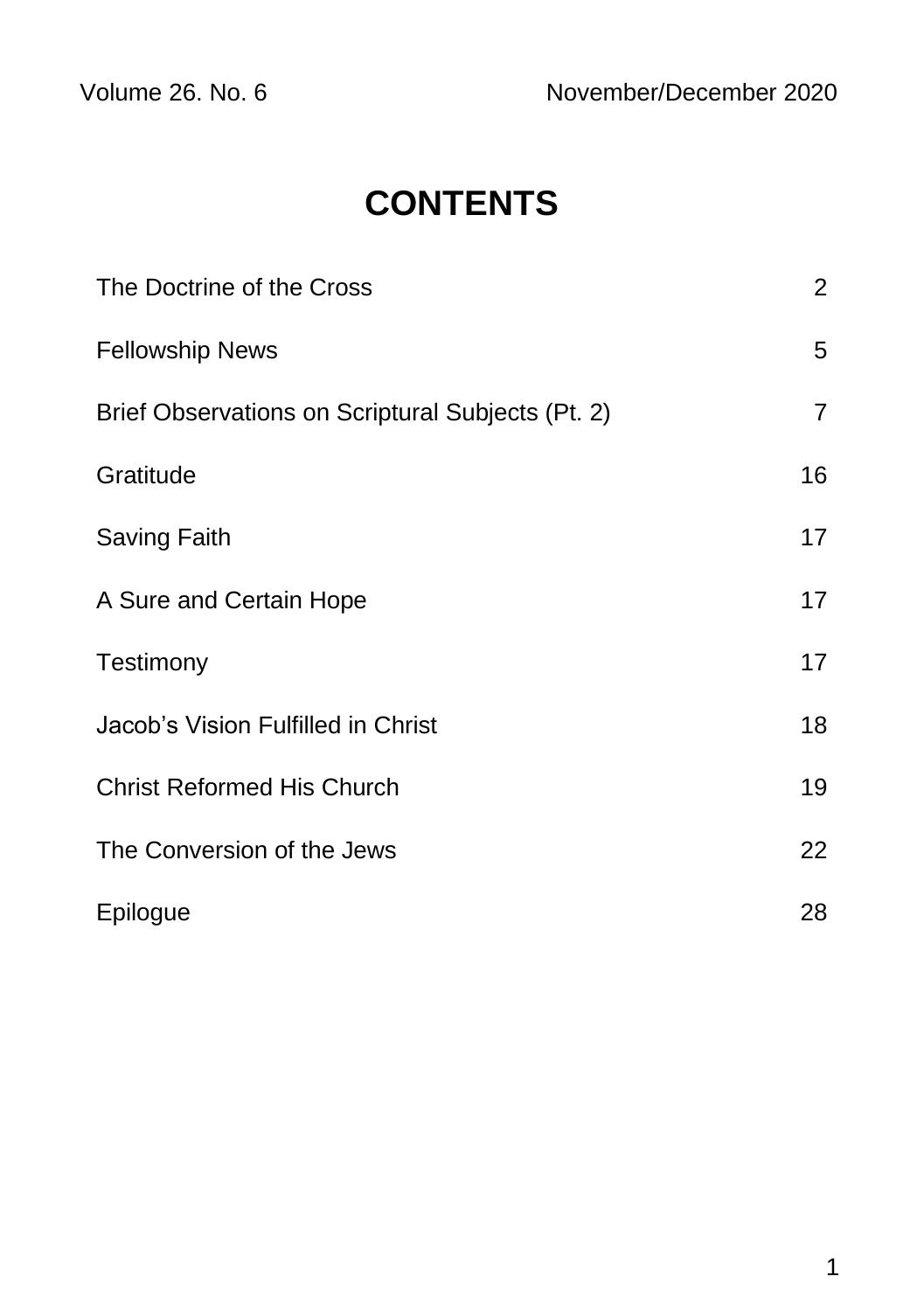# **CONTENTS**

| The Doctrine of the Cross                         | $\overline{2}$ |
|---------------------------------------------------|----------------|
| <b>Fellowship News</b>                            | 5              |
| Brief Observations on Scriptural Subjects (Pt. 2) | $\overline{7}$ |
| Gratitude                                         | 16             |
| Saving Faith                                      | 17             |
| A Sure and Certain Hope                           | 17             |
| Testimony                                         | 17             |
| Jacob's Vision Fulfilled in Christ                | 18             |
| <b>Christ Reformed His Church</b>                 | 19             |
| The Conversion of the Jews                        | 22             |
| Epilogue                                          | 28             |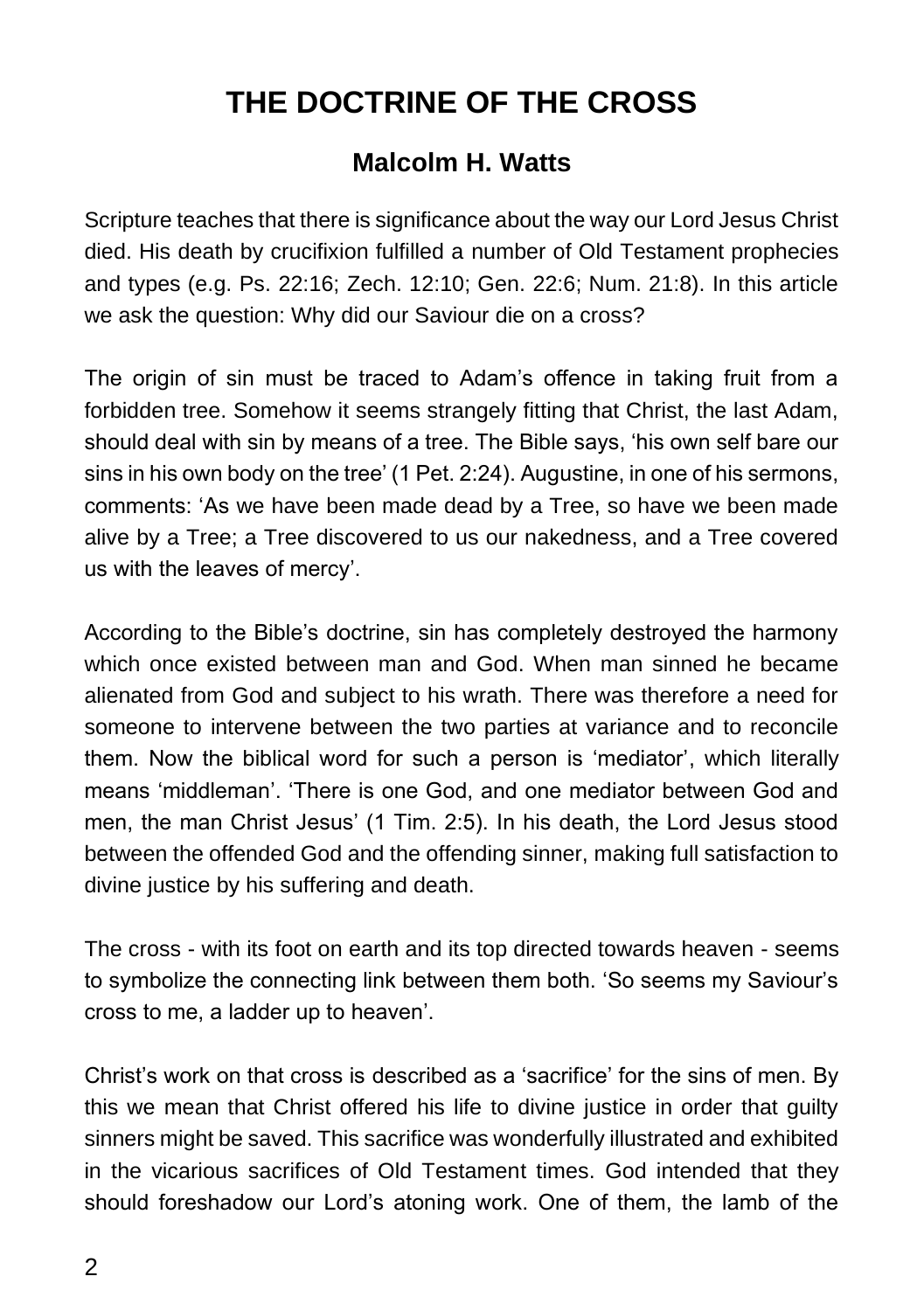# **THE DOCTRINE OF THE CROSS**

## **Malcolm H. Watts**

Scripture teaches that there is significance about the way our Lord Jesus Christ died. His death by crucifixion fulfilled a number of Old Testament prophecies and types (e.g. Ps. 22:16; Zech. 12:10; Gen. 22:6; Num. 21:8). In this article we ask the question: Why did our Saviour die on a cross?

The origin of sin must be traced to Adam's offence in taking fruit from a forbidden tree. Somehow it seems strangely fitting that Christ, the last Adam, should deal with sin by means of a tree. The Bible says, 'his own self bare our sins in his own body on the tree' (1 Pet. 2:24). Augustine, in one of his sermons, comments: 'As we have been made dead by a Tree, so have we been made alive by a Tree; a Tree discovered to us our nakedness, and a Tree covered us with the leaves of mercy'.

According to the Bible's doctrine, sin has completely destroyed the harmony which once existed between man and God. When man sinned he became alienated from God and subject to his wrath. There was therefore a need for someone to intervene between the two parties at variance and to reconcile them. Now the biblical word for such a person is 'mediator', which literally means 'middleman'. 'There is one God, and one mediator between God and men, the man Christ Jesus' (1 Tim. 2:5). In his death, the Lord Jesus stood between the offended God and the offending sinner, making full satisfaction to divine justice by his suffering and death.

The cross - with its foot on earth and its top directed towards heaven - seems to symbolize the connecting link between them both. 'So seems my Saviour's cross to me, a ladder up to heaven'.

Christ's work on that cross is described as a 'sacrifice' for the sins of men. By this we mean that Christ offered his life to divine justice in order that guilty sinners might be saved. This sacrifice was wonderfully illustrated and exhibited in the vicarious sacrifices of Old Testament times. God intended that they should foreshadow our Lord's atoning work. One of them, the lamb of the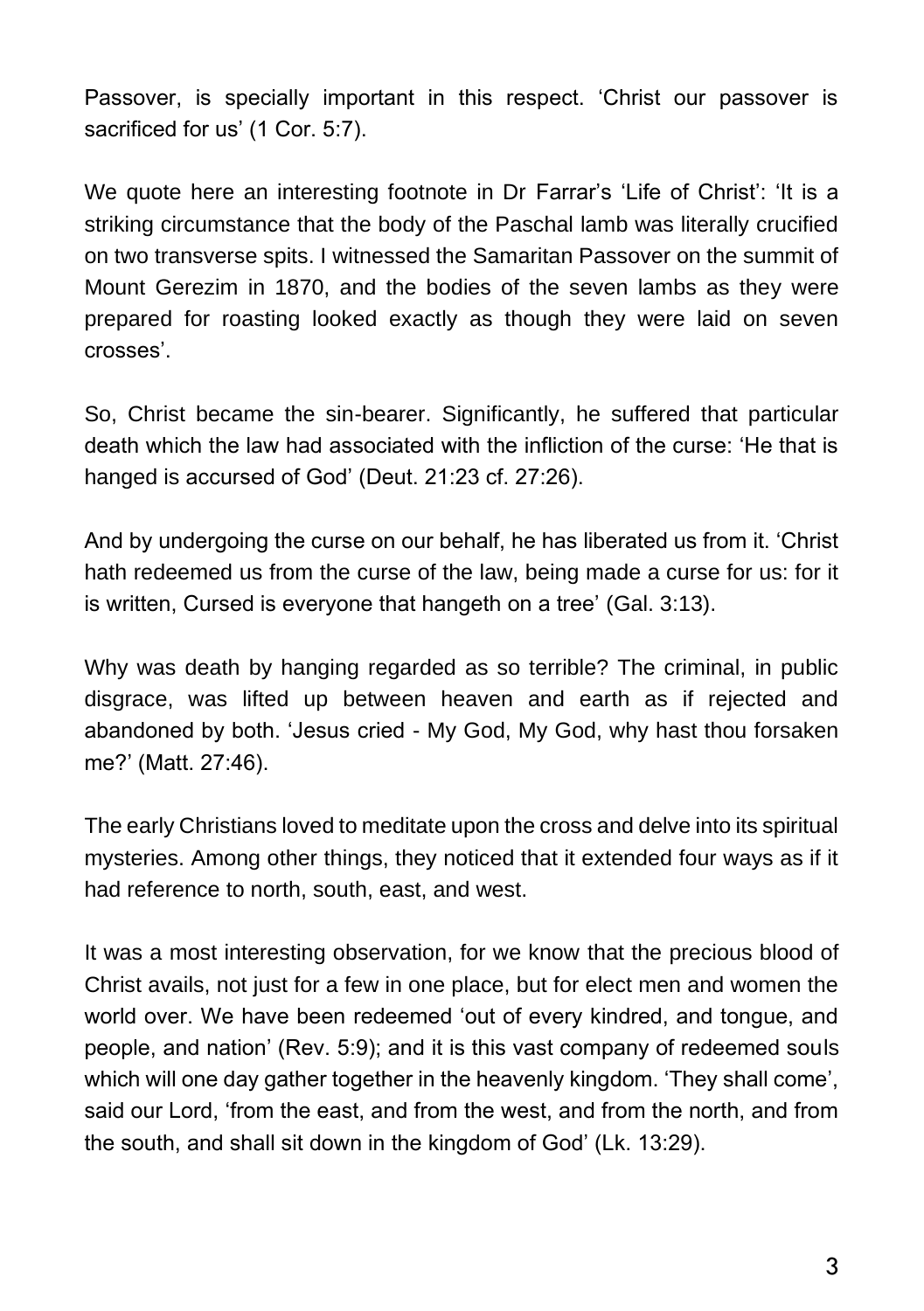Passover, is specially important in this respect. 'Christ our passover is sacrificed for us' (1 Cor. 5:7).

We quote here an interesting footnote in Dr Farrar's 'Life of Christ': 'It is a striking circumstance that the body of the Paschal lamb was literally crucified on two transverse spits. I witnessed the Samaritan Passover on the summit of Mount Gerezim in 1870, and the bodies of the seven lambs as they were prepared for roasting looked exactly as though they were laid on seven crosses'.

So, Christ became the sin-bearer. Significantly, he suffered that particular death which the law had associated with the infliction of the curse: 'He that is hanged is accursed of God' (Deut. 21:23 cf. 27:26).

And by undergoing the curse on our behalf, he has liberated us from it. 'Christ hath redeemed us from the curse of the law, being made a curse for us: for it is written, Cursed is everyone that hangeth on a tree' (Gal. 3:13).

Why was death by hanging regarded as so terrible? The criminal, in public disgrace, was lifted up between heaven and earth as if rejected and abandoned by both. 'Jesus cried - My God, My God, why hast thou forsaken me?' (Matt. 27:46).

The early Christians loved to meditate upon the cross and delve into its spiritual mysteries. Among other things, they noticed that it extended four ways as if it had reference to north, south, east, and west.

It was a most interesting observation, for we know that the precious blood of Christ avails, not just for a few in one place, but for elect men and women the world over. We have been redeemed 'out of every kindred, and tongue, and people, and nation' (Rev. 5:9); and it is this vast company of redeemed souls which will one day gather together in the heavenly kingdom. 'They shall come', said our Lord, 'from the east, and from the west, and from the north, and from the south, and shall sit down in the kingdom of God' (Lk. 13:29).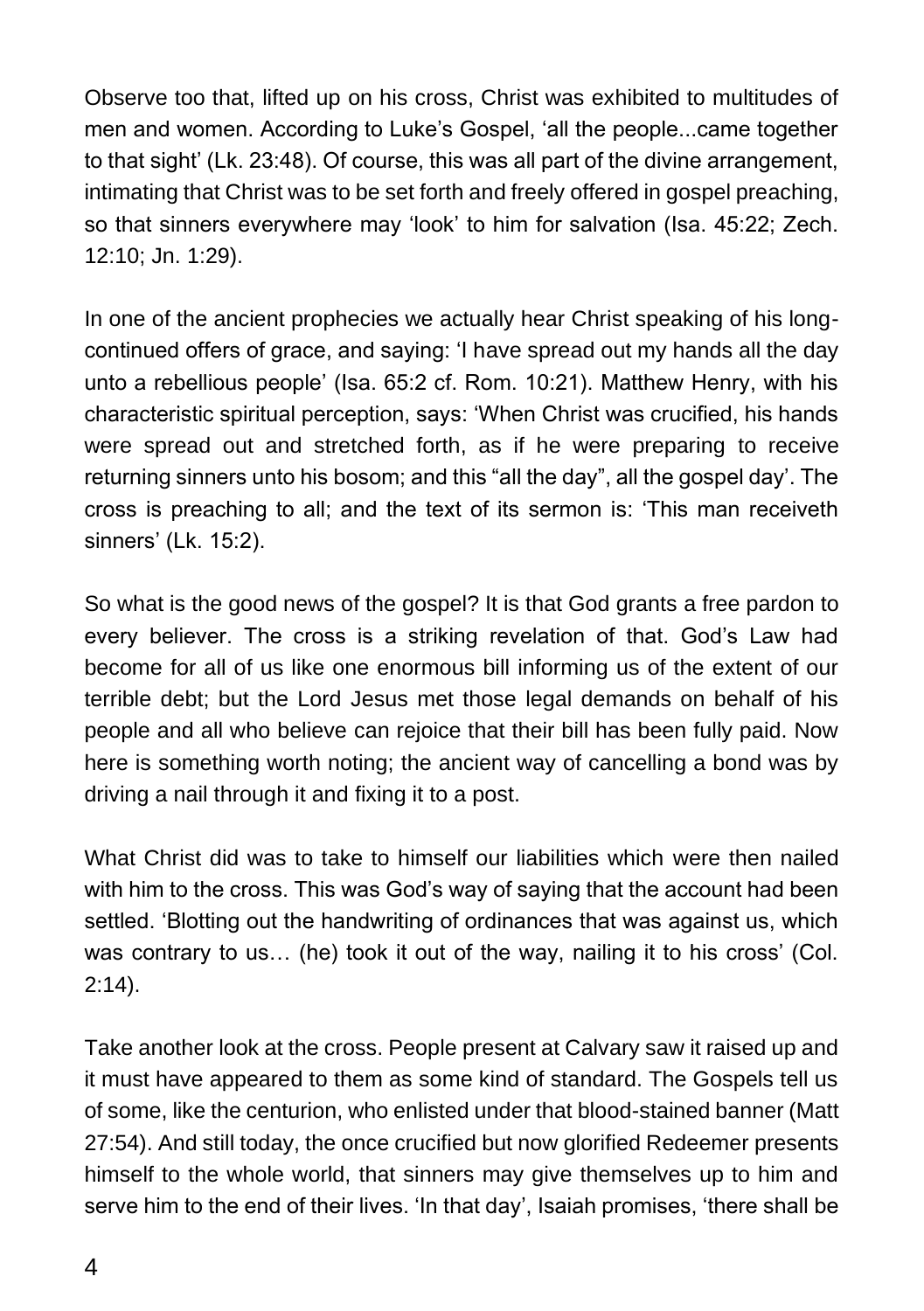Observe too that, lifted up on his cross, Christ was exhibited to multitudes of men and women. According to Luke's Gospel, 'all the people...came together to that sight' (Lk. 23:48). Of course, this was all part of the divine arrangement, intimating that Christ was to be set forth and freely offered in gospel preaching, so that sinners everywhere may 'look' to him for salvation (Isa. 45:22; Zech. 12:10; Jn. 1:29).

In one of the ancient prophecies we actually hear Christ speaking of his longcontinued offers of grace, and saying: 'I have spread out my hands all the day unto a rebellious people' (Isa. 65:2 cf. Rom. 10:21). Matthew Henry, with his characteristic spiritual perception, says: 'When Christ was crucified, his hands were spread out and stretched forth, as if he were preparing to receive returning sinners unto his bosom; and this "all the day", all the gospel day'. The cross is preaching to all; and the text of its sermon is: 'This man receiveth sinners' (Lk. 15:2).

So what is the good news of the gospel? It is that God grants a free pardon to every believer. The cross is a striking revelation of that. God's Law had become for all of us like one enormous bill informing us of the extent of our terrible debt; but the Lord Jesus met those legal demands on behalf of his people and all who believe can rejoice that their bill has been fully paid. Now here is something worth noting; the ancient way of cancelling a bond was by driving a nail through it and fixing it to a post.

What Christ did was to take to himself our liabilities which were then nailed with him to the cross. This was God's way of saying that the account had been settled. 'Blotting out the handwriting of ordinances that was against us, which was contrary to us… (he) took it out of the way, nailing it to his cross' (Col. 2:14).

Take another look at the cross. People present at Calvary saw it raised up and it must have appeared to them as some kind of standard. The Gospels tell us of some, like the centurion, who enlisted under that blood-stained banner (Matt 27:54). And still today, the once crucified but now glorified Redeemer presents himself to the whole world, that sinners may give themselves up to him and serve him to the end of their lives. 'In that day', Isaiah promises, 'there shall be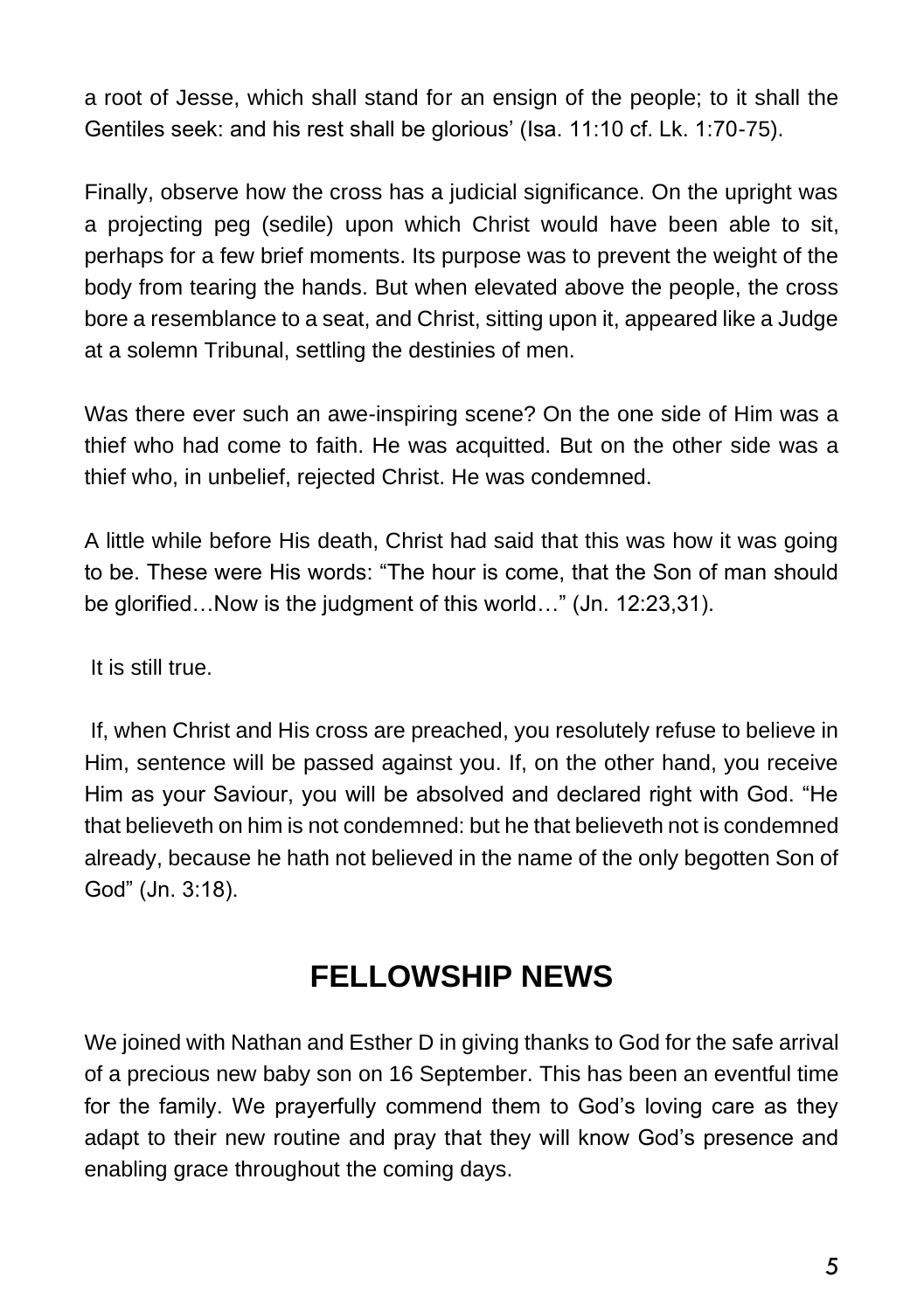a root of Jesse, which shall stand for an ensign of the people; to it shall the Gentiles seek: and his rest shall be glorious' (Isa. 11:10 cf. Lk. 1:70-75).

Finally, observe how the cross has a judicial significance. On the upright was a projecting peg (sedile) upon which Christ would have been able to sit, perhaps for a few brief moments. Its purpose was to prevent the weight of the body from tearing the hands. But when elevated above the people, the cross bore a resemblance to a seat, and Christ, sitting upon it, appeared like a Judge at a solemn Tribunal, settling the destinies of men.

Was there ever such an awe-inspiring scene? On the one side of Him was a thief who had come to faith. He was acquitted. But on the other side was a thief who, in unbelief, rejected Christ. He was condemned.

A little while before His death, Christ had said that this was how it was going to be. These were His words: "The hour is come, that the Son of man should be glorified…Now is the judgment of this world…" (Jn. 12:23,31).

It is still true.

If, when Christ and His cross are preached, you resolutely refuse to believe in Him, sentence will be passed against you. If, on the other hand, you receive Him as your Saviour, you will be absolved and declared right with God. "He that believeth on him is not condemned: but he that believeth not is condemned already, because he hath not believed in the name of the only begotten Son of God" (Jn. 3:18).

# **FELLOWSHIP NEWS**

We joined with Nathan and Esther D in giving thanks to God for the safe arrival of a precious new baby son on 16 September. This has been an eventful time for the family. We prayerfully commend them to God's loving care as they adapt to their new routine and pray that they will know God's presence and enabling grace throughout the coming days.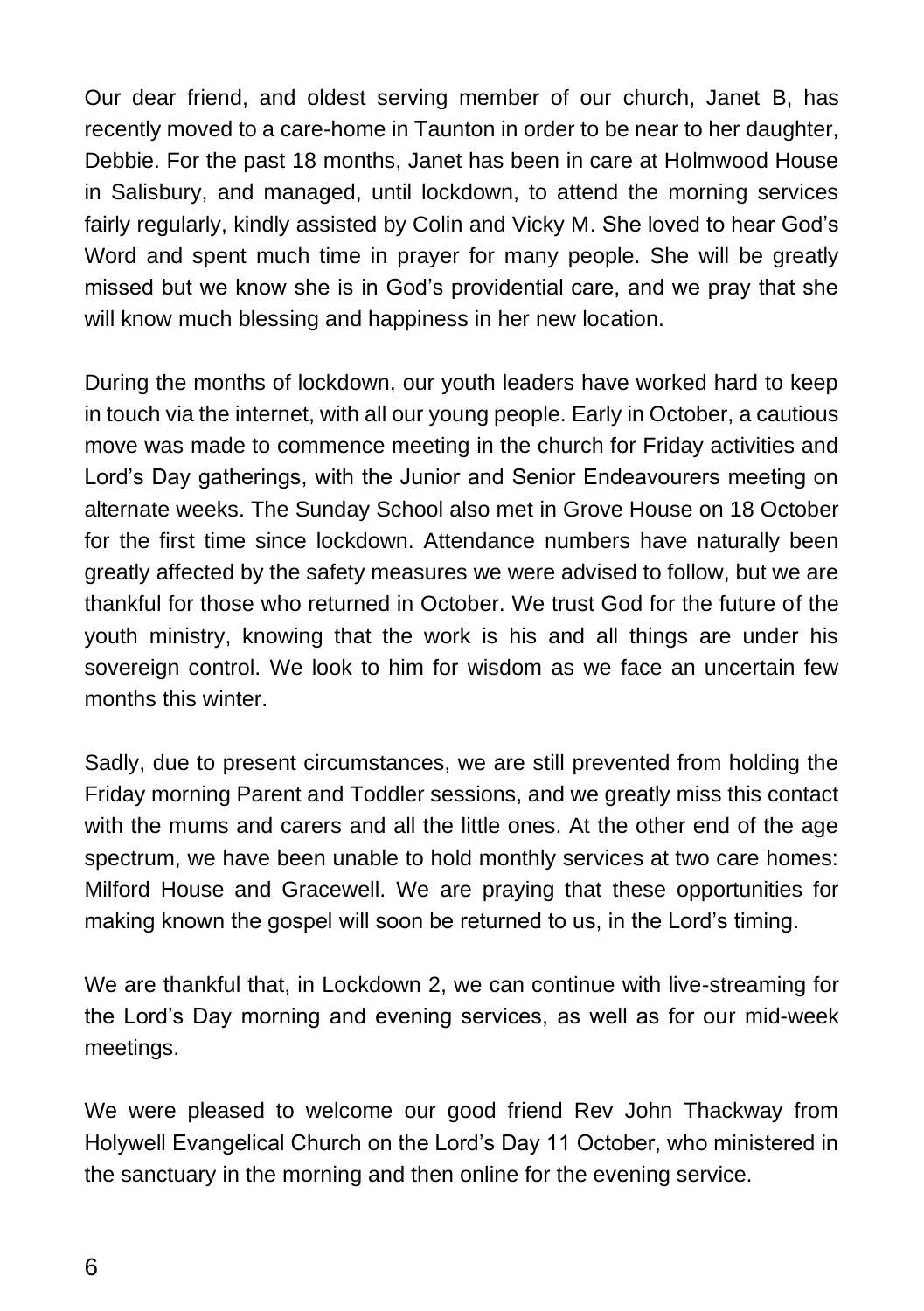Our dear friend, and oldest serving member of our church, Janet B, has recently moved to a care-home in Taunton in order to be near to her daughter, Debbie. For the past 18 months, Janet has been in care at Holmwood House in Salisbury, and managed, until lockdown, to attend the morning services fairly regularly, kindly assisted by Colin and Vicky M. She loved to hear God's Word and spent much time in prayer for many people. She will be greatly missed but we know she is in God's providential care, and we pray that she will know much blessing and happiness in her new location.

During the months of lockdown, our youth leaders have worked hard to keep in touch via the internet, with all our young people. Early in October, a cautious move was made to commence meeting in the church for Friday activities and Lord's Day gatherings, with the Junior and Senior Endeavourers meeting on alternate weeks. The Sunday School also met in Grove House on 18 October for the first time since lockdown. Attendance numbers have naturally been greatly affected by the safety measures we were advised to follow, but we are thankful for those who returned in October. We trust God for the future of the youth ministry, knowing that the work is his and all things are under his sovereign control. We look to him for wisdom as we face an uncertain few months this winter.

Sadly, due to present circumstances, we are still prevented from holding the Friday morning Parent and Toddler sessions, and we greatly miss this contact with the mums and carers and all the little ones. At the other end of the age spectrum, we have been unable to hold monthly services at two care homes: Milford House and Gracewell. We are praying that these opportunities for making known the gospel will soon be returned to us, in the Lord's timing.

We are thankful that, in Lockdown 2, we can continue with live-streaming for the Lord's Day morning and evening services, as well as for our mid-week meetings.

We were pleased to welcome our good friend Rev John Thackway from Holywell Evangelical Church on the Lord's Day 11 October, who ministered in the sanctuary in the morning and then online for the evening service.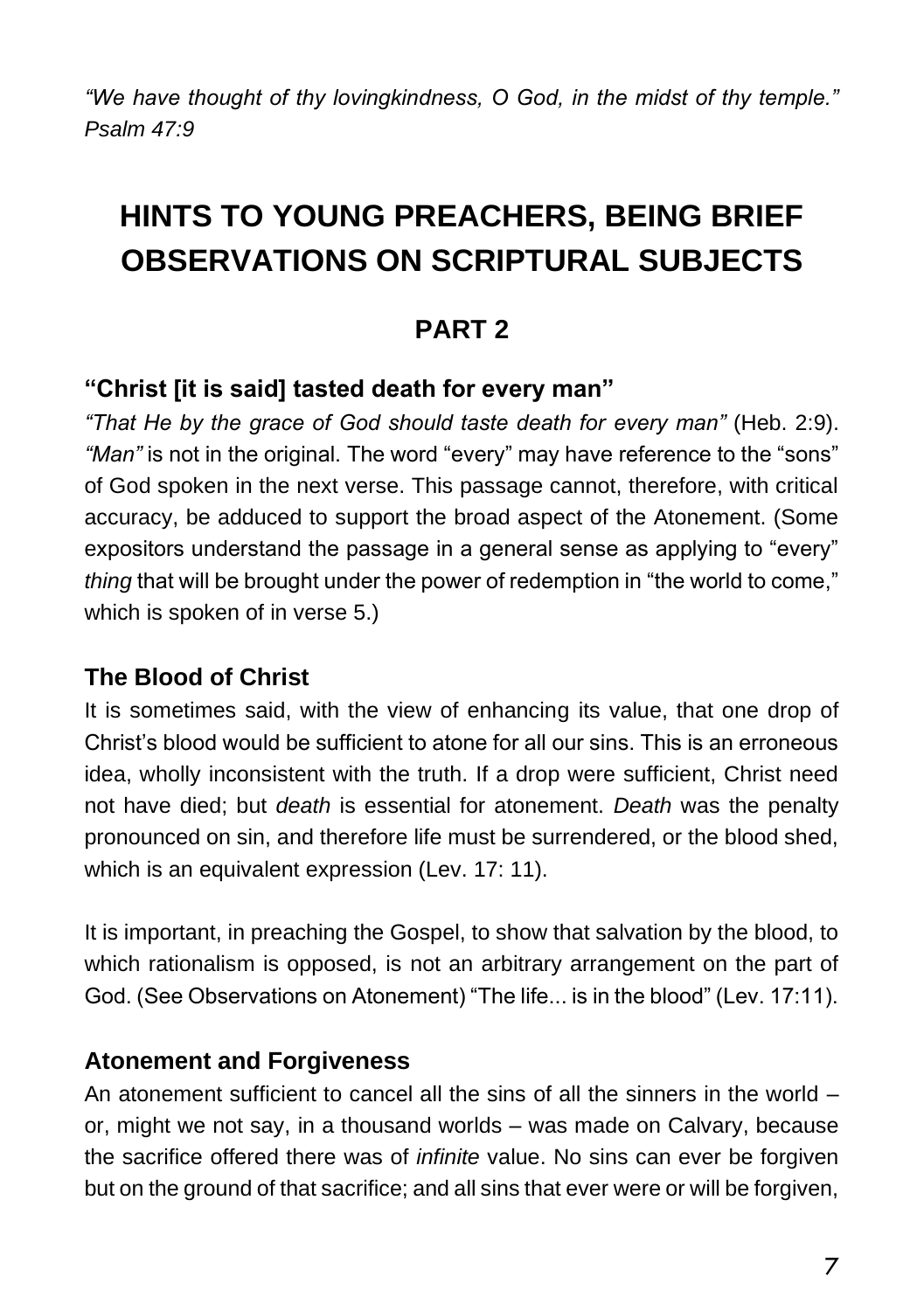*"We have thought of thy lovingkindness, O God, in the midst of thy temple." Psalm 47:9*

# **HINTS TO YOUNG PREACHERS, BEING BRIEF OBSERVATIONS ON SCRIPTURAL SUBJECTS**

## **PART 2**

#### **"Christ [it is said] tasted death for every man"**

*"That He by the grace of God should taste death for every man"* (Heb. 2:9). *"Man"* is not in the original. The word "every" may have reference to the "sons" of God spoken in the next verse. This passage cannot, therefore, with critical accuracy, be adduced to support the broad aspect of the Atonement. (Some expositors understand the passage in a general sense as applying to "every" *thing* that will be brought under the power of redemption in "the world to come," which is spoken of in verse 5.)

#### **The Blood of Christ**

It is sometimes said, with the view of enhancing its value, that one drop of Christ's blood would be sufficient to atone for all our sins. This is an erroneous idea, wholly inconsistent with the truth. If a drop were sufficient, Christ need not have died; but *death* is essential for atonement. *Death* was the penalty pronounced on sin, and therefore life must be surrendered, or the blood shed, which is an equivalent expression (Lev. 17: 11).

It is important, in preaching the Gospel, to show that salvation by the blood, to which rationalism is opposed, is not an arbitrary arrangement on the part of God. (See Observations on Atonement) "The life... is in the blood" (Lev. 17:11).

#### **Atonement and Forgiveness**

An atonement sufficient to cancel all the sins of all the sinners in the world – or, might we not say, in a thousand worlds – was made on Calvary, because the sacrifice offered there was of *infinite* value. No sins can ever be forgiven but on the ground of that sacrifice; and all sins that ever were or will be forgiven,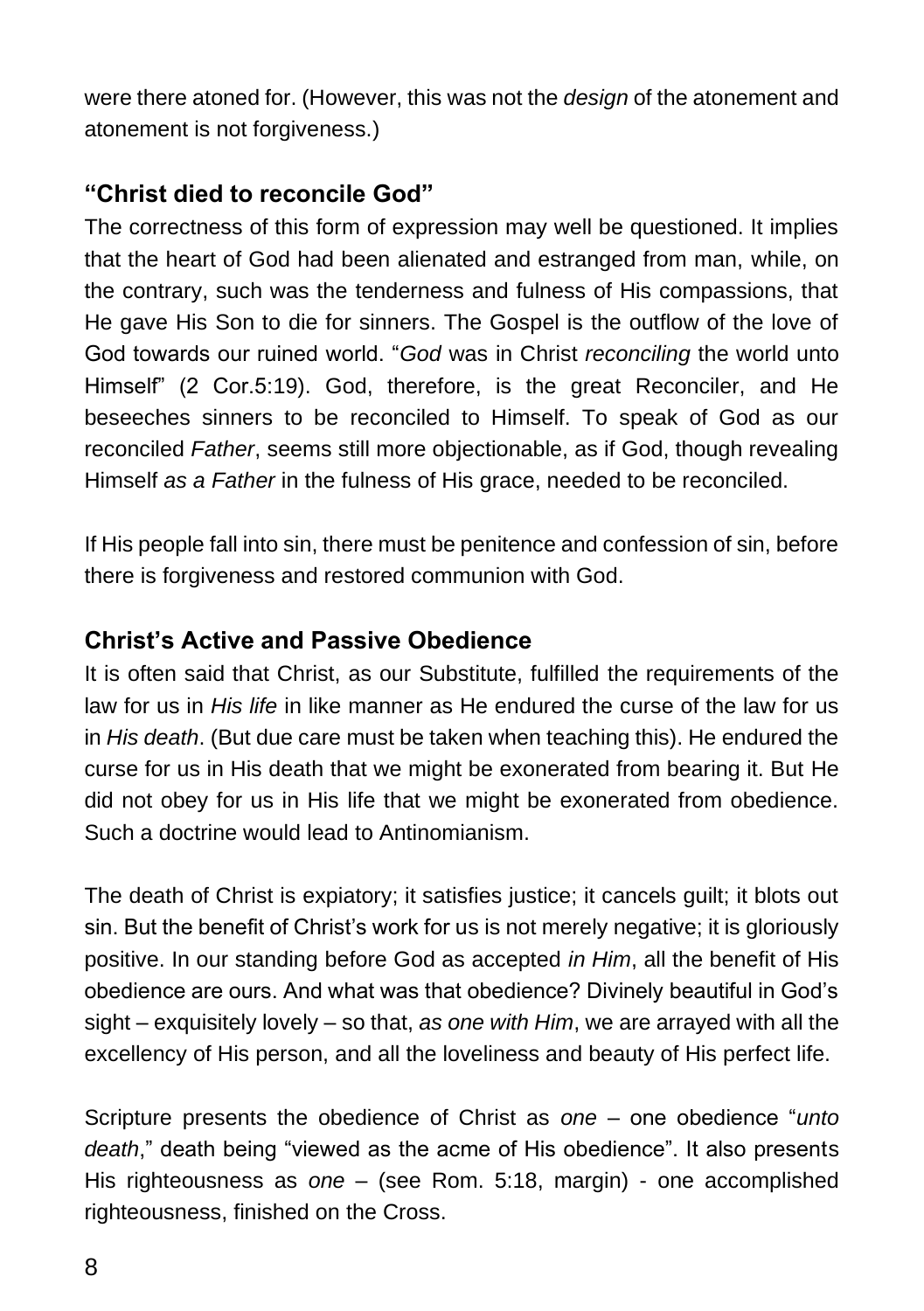were there atoned for. (However, this was not the *design* of the atonement and atonement is not forgiveness.)

#### **"Christ died to reconcile God"**

The correctness of this form of expression may well be questioned. It implies that the heart of God had been alienated and estranged from man, while, on the contrary, such was the tenderness and fulness of His compassions, that He gave His Son to die for sinners. The Gospel is the outflow of the love of God towards our ruined world. "*God* was in Christ *reconciling* the world unto Himself" (2 Cor.5:19). God, therefore, is the great Reconciler, and He beseeches sinners to be reconciled to Himself. To speak of God as our reconciled *Father*, seems still more objectionable, as if God, though revealing Himself *as a Father* in the fulness of His grace, needed to be reconciled.

If His people fall into sin, there must be penitence and confession of sin, before there is forgiveness and restored communion with God.

#### **Christ's Active and Passive Obedience**

It is often said that Christ, as our Substitute, fulfilled the requirements of the law for us in *His life* in like manner as He endured the curse of the law for us in *His death*. (But due care must be taken when teaching this). He endured the curse for us in His death that we might be exonerated from bearing it. But He did not obey for us in His life that we might be exonerated from obedience. Such a doctrine would lead to Antinomianism.

The death of Christ is expiatory; it satisfies justice; it cancels guilt; it blots out sin. But the benefit of Christ's work for us is not merely negative; it is gloriously positive. In our standing before God as accepted *in Him*, all the benefit of His obedience are ours. And what was that obedience? Divinely beautiful in God's sight – exquisitely lovely – so that, *as one with Him*, we are arrayed with all the excellency of His person, and all the loveliness and beauty of His perfect life.

Scripture presents the obedience of Christ as *one* – one obedience "*unto death*," death being "viewed as the acme of His obedience". It also presents His righteousness as *one* – (see Rom. 5:18, margin) - one accomplished righteousness, finished on the Cross.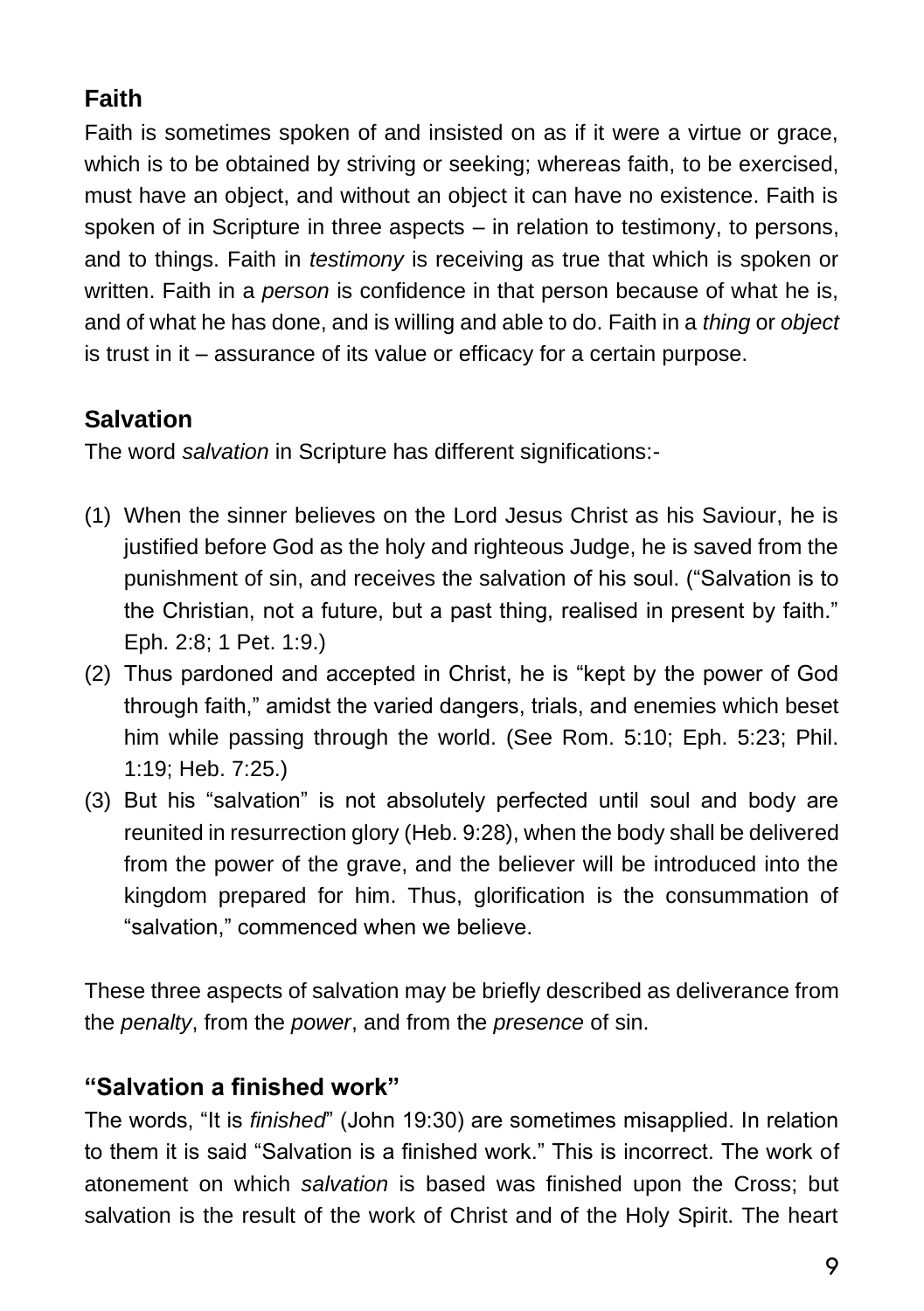## **Faith**

Faith is sometimes spoken of and insisted on as if it were a virtue or grace, which is to be obtained by striving or seeking; whereas faith, to be exercised, must have an object, and without an object it can have no existence. Faith is spoken of in Scripture in three aspects – in relation to testimony, to persons, and to things. Faith in *testimony* is receiving as true that which is spoken or written. Faith in a *person* is confidence in that person because of what he is, and of what he has done, and is willing and able to do. Faith in a *thing* or *object* is trust in it – assurance of its value or efficacy for a certain purpose.

## **Salvation**

The word *salvation* in Scripture has different significations:-

- (1) When the sinner believes on the Lord Jesus Christ as his Saviour, he is justified before God as the holy and righteous Judge, he is saved from the punishment of sin, and receives the salvation of his soul. ("Salvation is to the Christian, not a future, but a past thing, realised in present by faith." Eph. 2:8; 1 Pet. 1:9.)
- (2) Thus pardoned and accepted in Christ, he is "kept by the power of God through faith," amidst the varied dangers, trials, and enemies which beset him while passing through the world. (See Rom. 5:10; Eph. 5:23; Phil. 1:19; Heb. 7:25.)
- (3) But his "salvation" is not absolutely perfected until soul and body are reunited in resurrection glory (Heb. 9:28), when the body shall be delivered from the power of the grave, and the believer will be introduced into the kingdom prepared for him. Thus, glorification is the consummation of "salvation," commenced when we believe.

These three aspects of salvation may be briefly described as deliverance from the *penalty*, from the *power*, and from the *presence* of sin.

### **"Salvation a finished work"**

The words, "It is *finished*" (John 19:30) are sometimes misapplied. In relation to them it is said "Salvation is a finished work." This is incorrect. The work of atonement on which *salvation* is based was finished upon the Cross; but salvation is the result of the work of Christ and of the Holy Spirit. The heart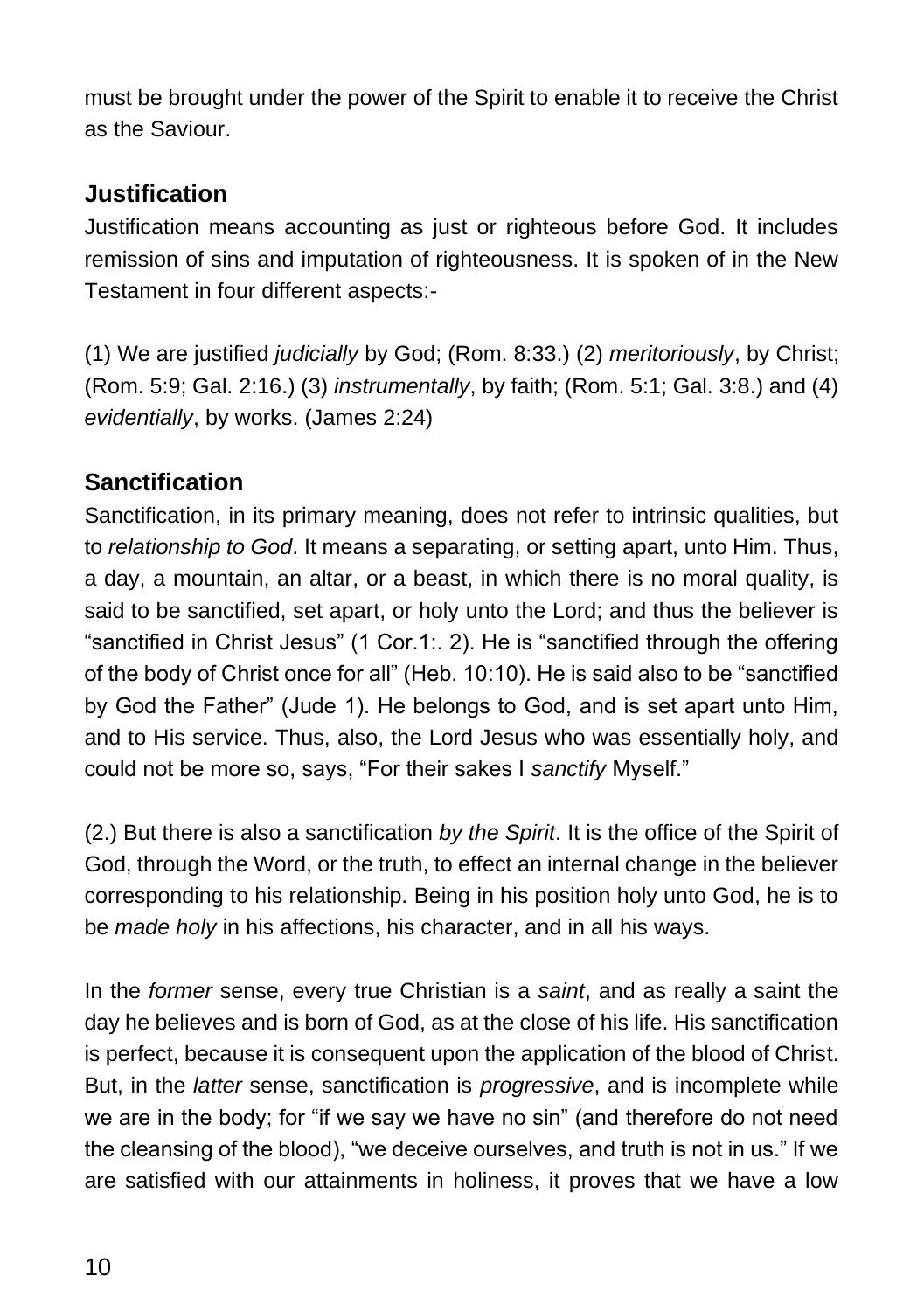must be brought under the power of the Spirit to enable it to receive the Christ as the Saviour.

#### **Justification**

Justification means accounting as just or righteous before God. It includes remission of sins and imputation of righteousness. It is spoken of in the New Testament in four different aspects:-

(1) We are justified *judicially* by God; (Rom. 8:33.) (2) *meritoriously*, by Christ; (Rom. 5:9; Gal. 2:16.) (3) *instrumentally*, by faith; (Rom. 5:1; Gal. 3:8.) and (4) *evidentially*, by works. (James 2:24)

#### **Sanctification**

Sanctification, in its primary meaning, does not refer to intrinsic qualities, but to *relationship to God*. It means a separating, or setting apart, unto Him. Thus, a day, a mountain, an altar, or a beast, in which there is no moral quality, is said to be sanctified, set apart, or holy unto the Lord; and thus the believer is "sanctified in Christ Jesus" (1 Cor.1:. 2). He is "sanctified through the offering of the body of Christ once for all" (Heb. 10:10). He is said also to be "sanctified by God the Father" (Jude 1). He belongs to God, and is set apart unto Him, and to His service. Thus, also, the Lord Jesus who was essentially holy, and could not be more so, says, "For their sakes I *sanctify* Myself."

(2.) But there is also a sanctification *by the Spirit*. It is the office of the Spirit of God, through the Word, or the truth, to effect an internal change in the believer corresponding to his relationship. Being in his position holy unto God, he is to be *made holy* in his affections, his character, and in all his ways.

In the *former* sense, every true Christian is a *saint*, and as really a saint the day he believes and is born of God, as at the close of his life. His sanctification is perfect, because it is consequent upon the application of the blood of Christ. But, in the *latter* sense, sanctification is *progressive*, and is incomplete while we are in the body; for "if we say we have no sin" (and therefore do not need the cleansing of the blood), "we deceive ourselves, and truth is not in us." If we are satisfied with our attainments in holiness, it proves that we have a low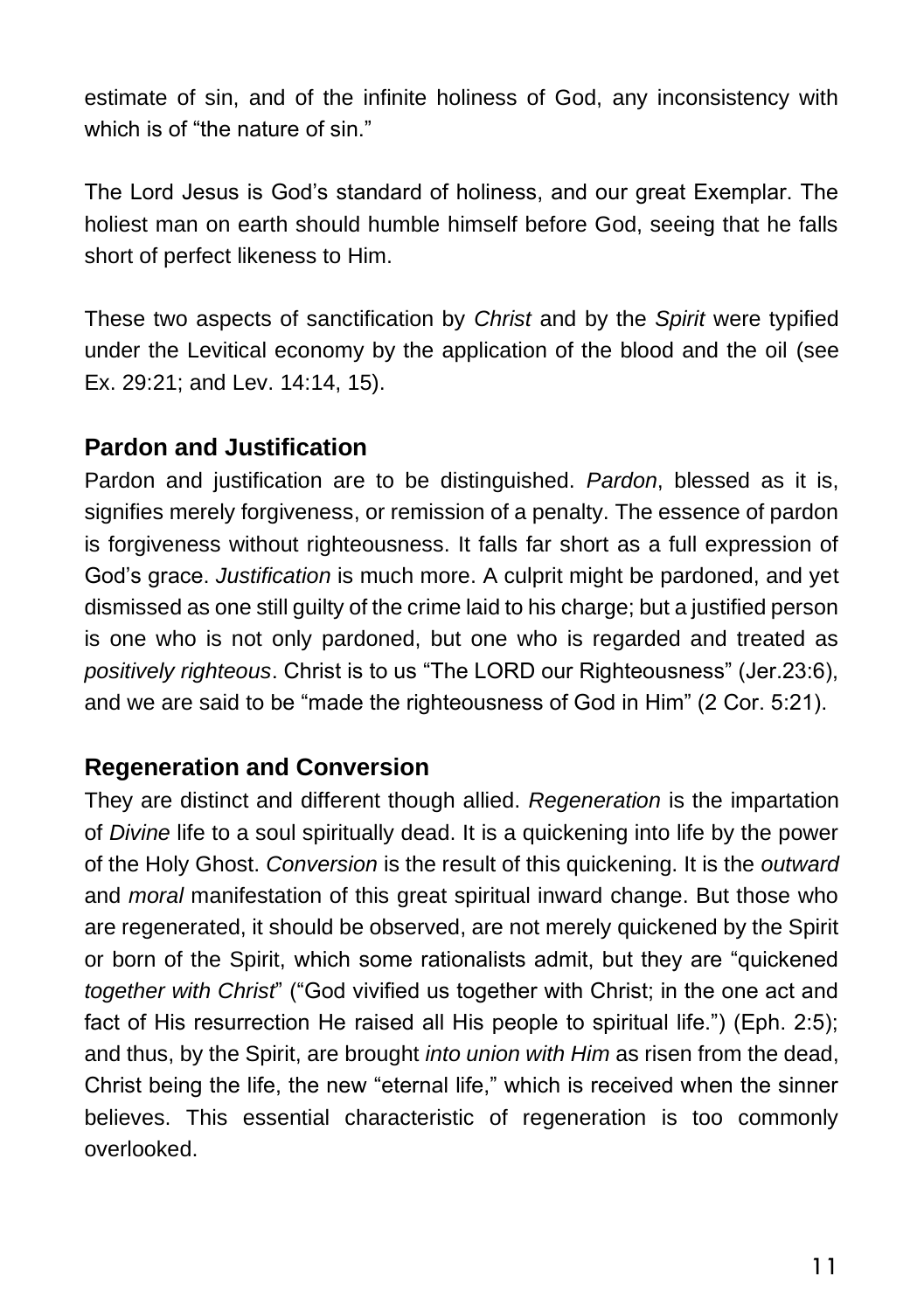estimate of sin, and of the infinite holiness of God, any inconsistency with which is of "the nature of sin."

The Lord Jesus is God's standard of holiness, and our great Exemplar. The holiest man on earth should humble himself before God, seeing that he falls short of perfect likeness to Him.

These two aspects of sanctification by *Christ* and by the *Spirit* were typified under the Levitical economy by the application of the blood and the oil (see Ex. 29:21; and Lev. 14:14, 15).

#### **Pardon and Justification**

Pardon and justification are to be distinguished. *Pardon*, blessed as it is, signifies merely forgiveness, or remission of a penalty. The essence of pardon is forgiveness without righteousness. It falls far short as a full expression of God's grace. *Justification* is much more. A culprit might be pardoned, and yet dismissed as one still guilty of the crime laid to his charge; but a justified person is one who is not only pardoned, but one who is regarded and treated as *positively righteous*. Christ is to us "The LORD our Righteousness" (Jer.23:6), and we are said to be "made the righteousness of God in Him" (2 Cor. 5:21).

#### **Regeneration and Conversion**

They are distinct and different though allied. *Regeneration* is the impartation of *Divine* life to a soul spiritually dead. It is a quickening into life by the power of the Holy Ghost. *Conversion* is the result of this quickening. It is the *outward* and *moral* manifestation of this great spiritual inward change. But those who are regenerated, it should be observed, are not merely quickened by the Spirit or born of the Spirit, which some rationalists admit, but they are "quickened *together with Christ*" ("God vivified us together with Christ; in the one act and fact of His resurrection He raised all His people to spiritual life.") (Eph. 2:5); and thus, by the Spirit, are brought *into union with Him* as risen from the dead, Christ being the life, the new "eternal life," which is received when the sinner believes. This essential characteristic of regeneration is too commonly overlooked.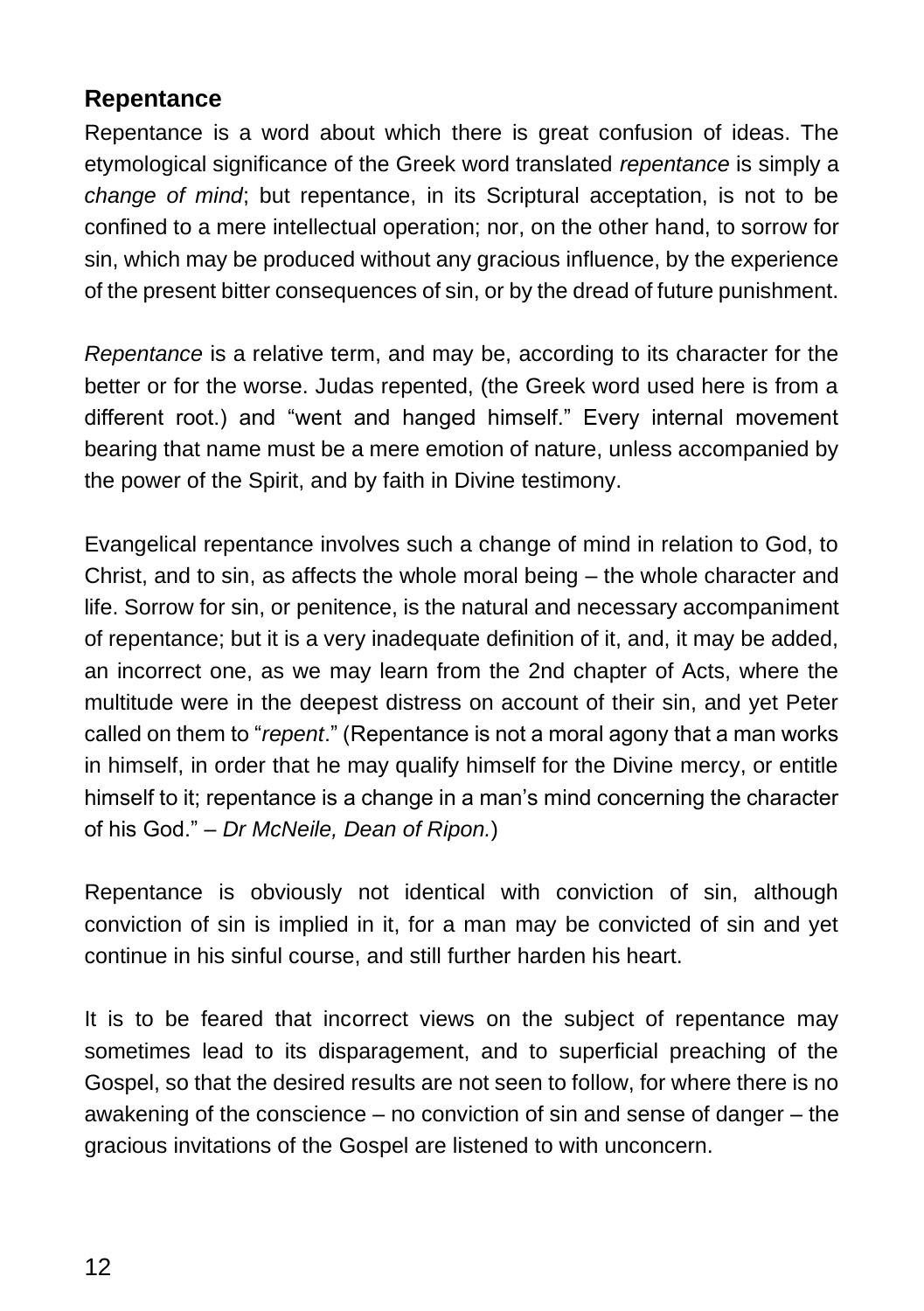#### **Repentance**

Repentance is a word about which there is great confusion of ideas. The etymological significance of the Greek word translated *repentance* is simply a *change of mind*; but repentance, in its Scriptural acceptation, is not to be confined to a mere intellectual operation; nor, on the other hand, to sorrow for sin, which may be produced without any gracious influence, by the experience of the present bitter consequences of sin, or by the dread of future punishment.

*Repentance* is a relative term, and may be, according to its character for the better or for the worse. Judas repented, (the Greek word used here is from a different root.) and "went and hanged himself." Every internal movement bearing that name must be a mere emotion of nature, unless accompanied by the power of the Spirit, and by faith in Divine testimony.

Evangelical repentance involves such a change of mind in relation to God, to Christ, and to sin, as affects the whole moral being – the whole character and life. Sorrow for sin, or penitence, is the natural and necessary accompaniment of repentance; but it is a very inadequate definition of it, and, it may be added, an incorrect one, as we may learn from the 2nd chapter of Acts, where the multitude were in the deepest distress on account of their sin, and yet Peter called on them to "*repent*." (Repentance is not a moral agony that a man works in himself, in order that he may qualify himself for the Divine mercy, or entitle himself to it; repentance is a change in a man's mind concerning the character of his God." – *Dr McNeile, Dean of Ripon.*)

Repentance is obviously not identical with conviction of sin, although conviction of sin is implied in it, for a man may be convicted of sin and yet continue in his sinful course, and still further harden his heart.

It is to be feared that incorrect views on the subject of repentance may sometimes lead to its disparagement, and to superficial preaching of the Gospel, so that the desired results are not seen to follow, for where there is no awakening of the conscience – no conviction of sin and sense of danger – the gracious invitations of the Gospel are listened to with unconcern.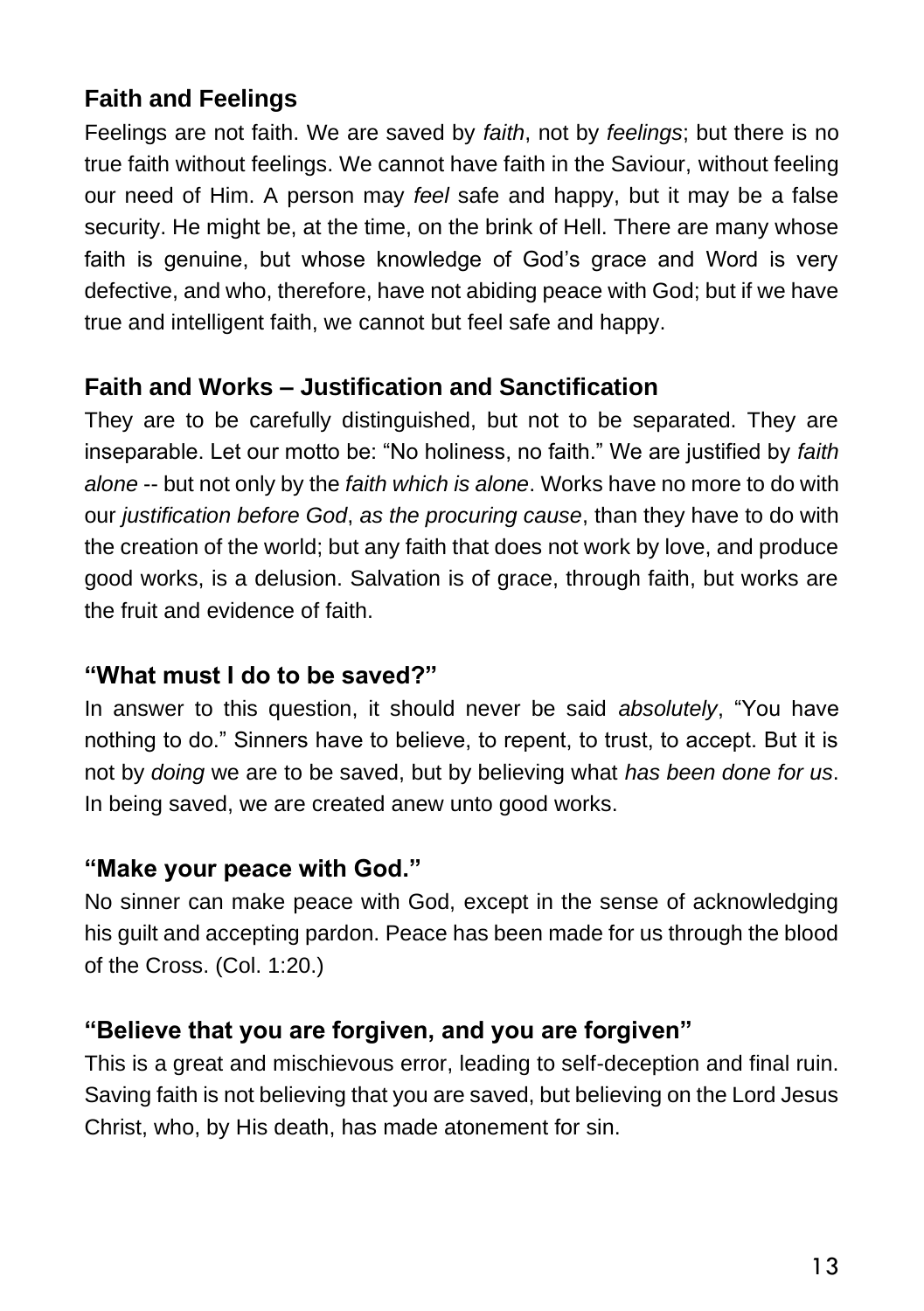### **Faith and Feelings**

Feelings are not faith. We are saved by *faith*, not by *feelings*; but there is no true faith without feelings. We cannot have faith in the Saviour, without feeling our need of Him. A person may *feel* safe and happy, but it may be a false security. He might be, at the time, on the brink of Hell. There are many whose faith is genuine, but whose knowledge of God's grace and Word is very defective, and who, therefore, have not abiding peace with God; but if we have true and intelligent faith, we cannot but feel safe and happy.

#### **Faith and Works – Justification and Sanctification**

They are to be carefully distinguished, but not to be separated. They are inseparable. Let our motto be: "No holiness, no faith." We are justified by *faith alone* -- but not only by the *faith which is alone*. Works have no more to do with our *justification before God*, *as the procuring cause*, than they have to do with the creation of the world; but any faith that does not work by love, and produce good works, is a delusion. Salvation is of grace, through faith, but works are the fruit and evidence of faith.

#### **"What must I do to be saved?"**

In answer to this question, it should never be said *absolutely*, "You have nothing to do." Sinners have to believe, to repent, to trust, to accept. But it is not by *doing* we are to be saved, but by believing what *has been done for us*. In being saved, we are created anew unto good works.

#### **"Make your peace with God."**

No sinner can make peace with God, except in the sense of acknowledging his guilt and accepting pardon. Peace has been made for us through the blood of the Cross. (Col. 1:20.)

#### **"Believe that you are forgiven, and you are forgiven"**

This is a great and mischievous error, leading to self-deception and final ruin. Saving faith is not believing that you are saved, but believing on the Lord Jesus Christ, who, by His death, has made atonement for sin.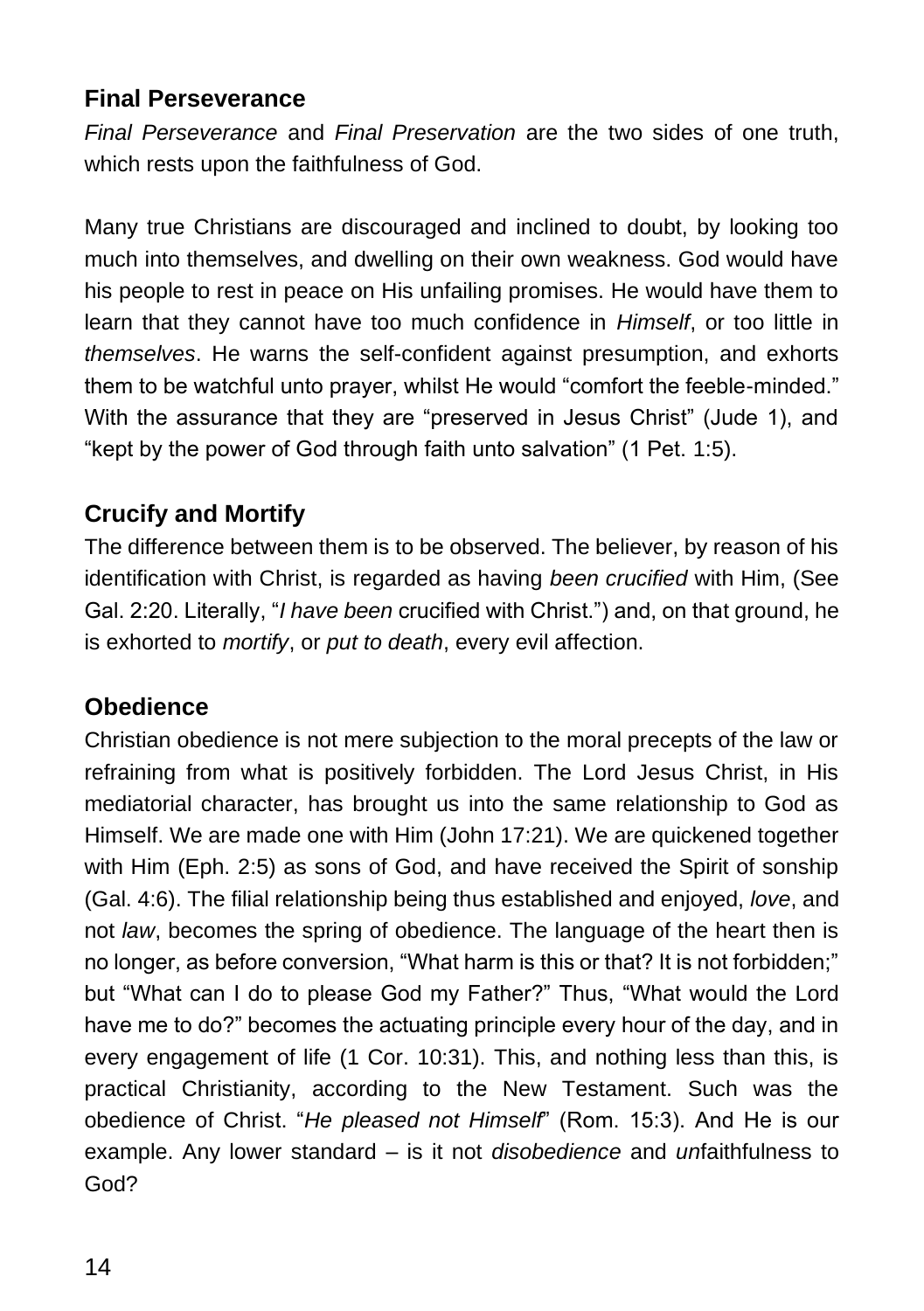#### **Final Perseverance**

*Final Perseverance* and *Final Preservation* are the two sides of one truth, which rests upon the faithfulness of God.

Many true Christians are discouraged and inclined to doubt, by looking too much into themselves, and dwelling on their own weakness. God would have his people to rest in peace on His unfailing promises. He would have them to learn that they cannot have too much confidence in *Himself*, or too little in *themselves*. He warns the self-confident against presumption, and exhorts them to be watchful unto prayer, whilst He would "comfort the feeble-minded." With the assurance that they are "preserved in Jesus Christ" (Jude 1), and "kept by the power of God through faith unto salvation" (1 Pet. 1:5).

## **Crucify and Mortify**

The difference between them is to be observed. The believer, by reason of his identification with Christ, is regarded as having *been crucified* with Him, (See Gal. 2:20. Literally, "*I have been* crucified with Christ.") and, on that ground, he is exhorted to *mortify*, or *put to death*, every evil affection.

#### **Obedience**

Christian obedience is not mere subjection to the moral precepts of the law or refraining from what is positively forbidden. The Lord Jesus Christ, in His mediatorial character, has brought us into the same relationship to God as Himself. We are made one with Him (John 17:21). We are quickened together with Him (Eph. 2:5) as sons of God, and have received the Spirit of sonship (Gal. 4:6). The filial relationship being thus established and enjoyed, *love*, and not *law*, becomes the spring of obedience. The language of the heart then is no longer, as before conversion, "What harm is this or that? It is not forbidden;" but "What can I do to please God my Father?" Thus, "What would the Lord have me to do?" becomes the actuating principle every hour of the day, and in every engagement of life (1 Cor. 10:31). This, and nothing less than this, is practical Christianity, according to the New Testament. Such was the obedience of Christ. "*He pleased not Himself*" (Rom. 15:3). And He is our example. Any lower standard – is it not *disobedience* and *un*faithfulness to God?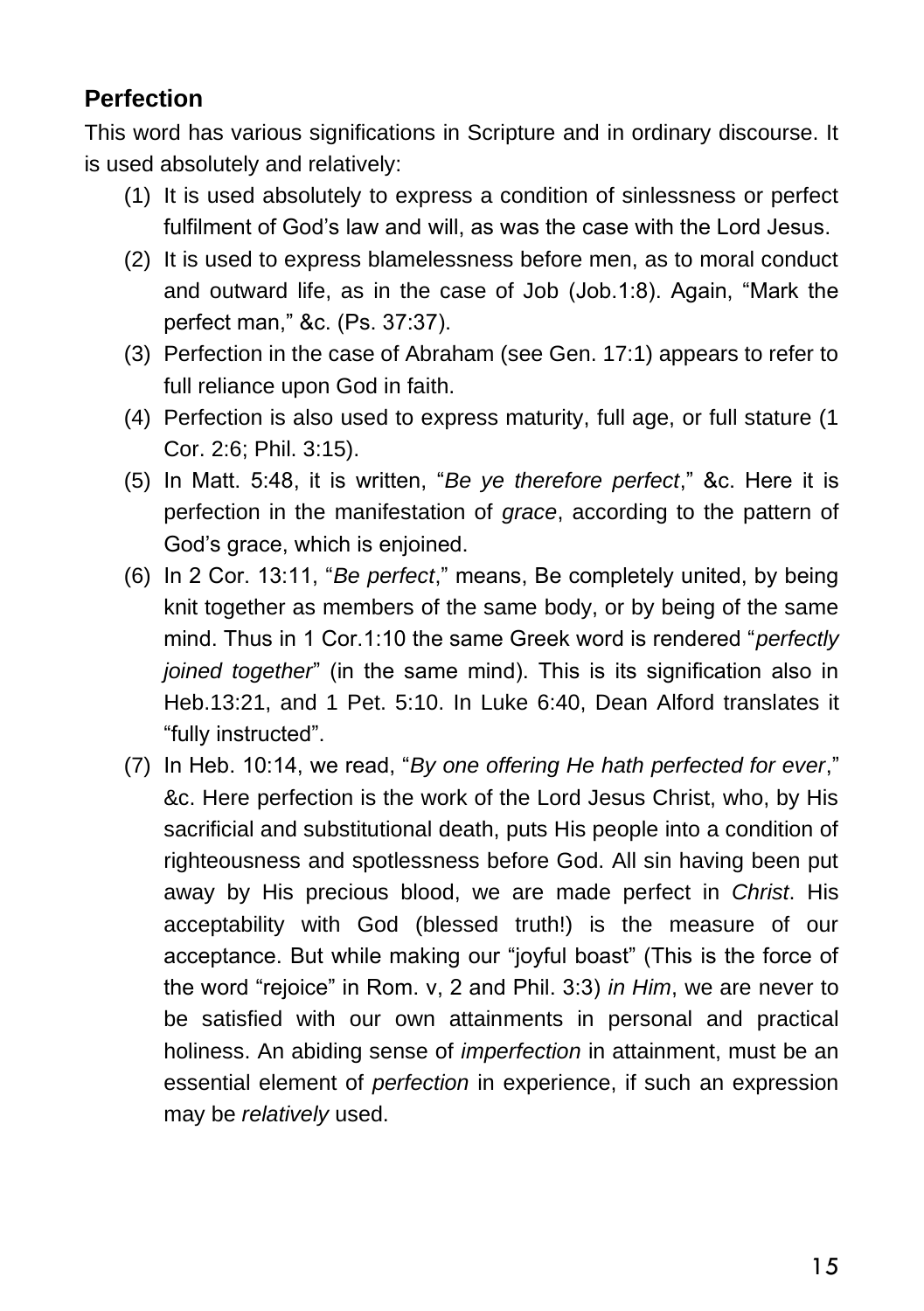#### **Perfection**

This word has various significations in Scripture and in ordinary discourse. It is used absolutely and relatively:

- (1) It is used absolutely to express a condition of sinlessness or perfect fulfilment of God's law and will, as was the case with the Lord Jesus.
- (2) It is used to express blamelessness before men, as to moral conduct and outward life, as in the case of Job (Job.1:8). Again, "Mark the perfect man," &c. (Ps. 37:37).
- (3) Perfection in the case of Abraham (see Gen. 17:1) appears to refer to full reliance upon God in faith.
- (4) Perfection is also used to express maturity, full age, or full stature (1 Cor. 2:6; Phil. 3:15).
- (5) In Matt. 5:48, it is written, "*Be ye therefore perfect*," &c. Here it is perfection in the manifestation of *grace*, according to the pattern of God's grace, which is enjoined.
- (6) In 2 Cor. 13:11, "*Be perfect*," means, Be completely united, by being knit together as members of the same body, or by being of the same mind. Thus in 1 Cor.1:10 the same Greek word is rendered "*perfectly joined together*" (in the same mind). This is its signification also in Heb.13:21, and 1 Pet. 5:10. In Luke 6:40, Dean Alford translates it "fully instructed".
- (7) In Heb. 10:14, we read, "*By one offering He hath perfected for ever*," &c. Here perfection is the work of the Lord Jesus Christ, who, by His sacrificial and substitutional death, puts His people into a condition of righteousness and spotlessness before God. All sin having been put away by His precious blood, we are made perfect in *Christ*. His acceptability with God (blessed truth!) is the measure of our acceptance. But while making our "joyful boast" (This is the force of the word "rejoice" in Rom. v, 2 and Phil. 3:3) *in Him*, we are never to be satisfied with our own attainments in personal and practical holiness. An abiding sense of *imperfection* in attainment, must be an essential element of *perfection* in experience, if such an expression may be *relatively* used.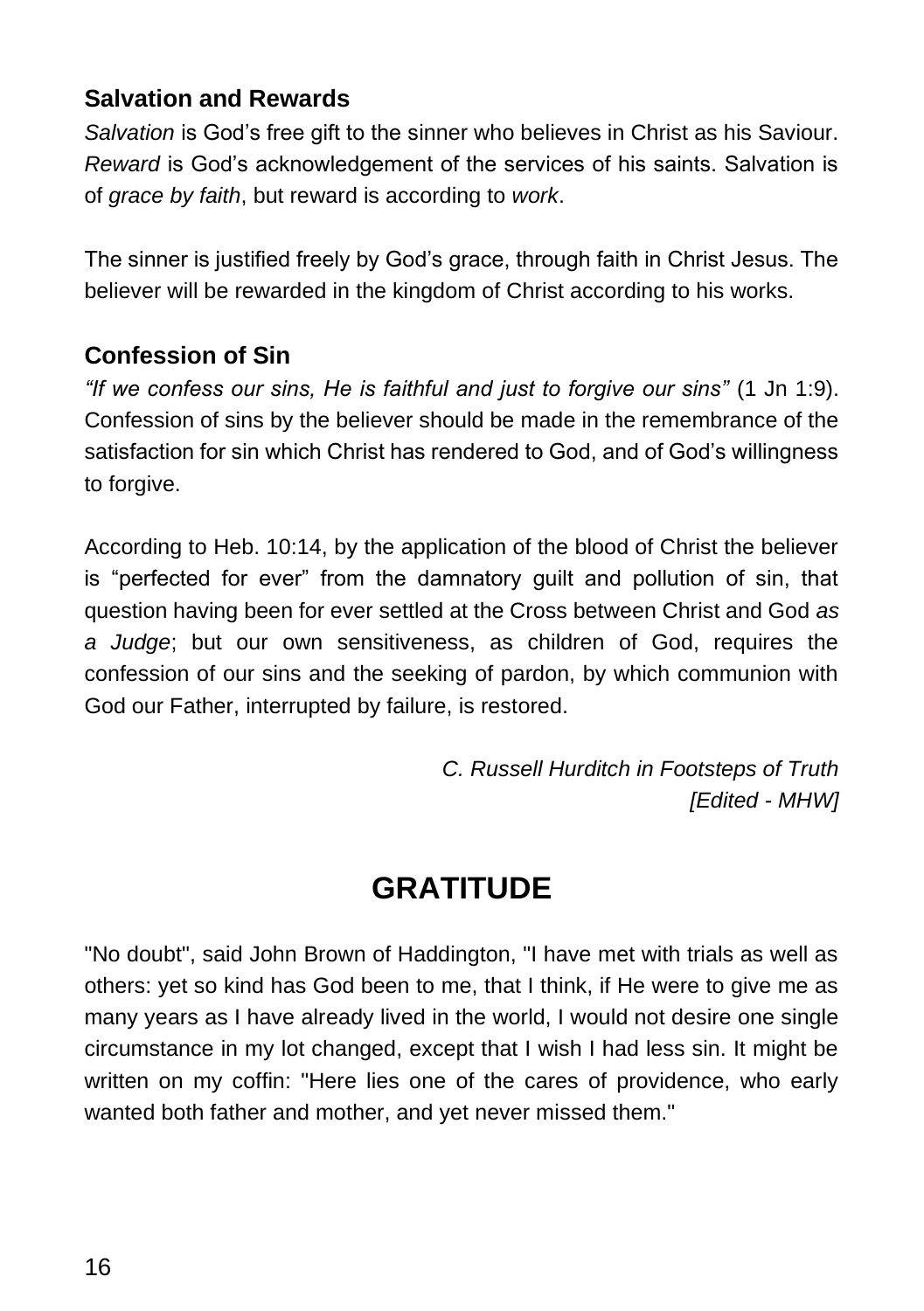#### **Salvation and Rewards**

*Salvation* is God's free gift to the sinner who believes in Christ as his Saviour. *Reward* is God's acknowledgement of the services of his saints. Salvation is of *grace by faith*, but reward is according to *work*.

The sinner is justified freely by God's grace, through faith in Christ Jesus. The believer will be rewarded in the kingdom of Christ according to his works.

#### **Confession of Sin**

*"If we confess our sins, He is faithful and just to forgive our sins"* (1 Jn 1:9). Confession of sins by the believer should be made in the remembrance of the satisfaction for sin which Christ has rendered to God, and of God's willingness to forgive.

According to Heb. 10:14, by the application of the blood of Christ the believer is "perfected for ever" from the damnatory guilt and pollution of sin, that question having been for ever settled at the Cross between Christ and God *as a Judge*; but our own sensitiveness, as children of God, requires the confession of our sins and the seeking of pardon, by which communion with God our Father, interrupted by failure, is restored.

> *C. Russell Hurditch in Footsteps of Truth [Edited - MHW]*

# **GRATITUDE**

"No doubt", said John Brown of Haddington, "I have met with trials as well as others: yet so kind has God been to me, that I think, if He were to give me as many years as I have already lived in the world, I would not desire one single circumstance in my lot changed, except that I wish I had less sin. It might be written on my coffin: "Here lies one of the cares of providence, who early wanted both father and mother, and yet never missed them."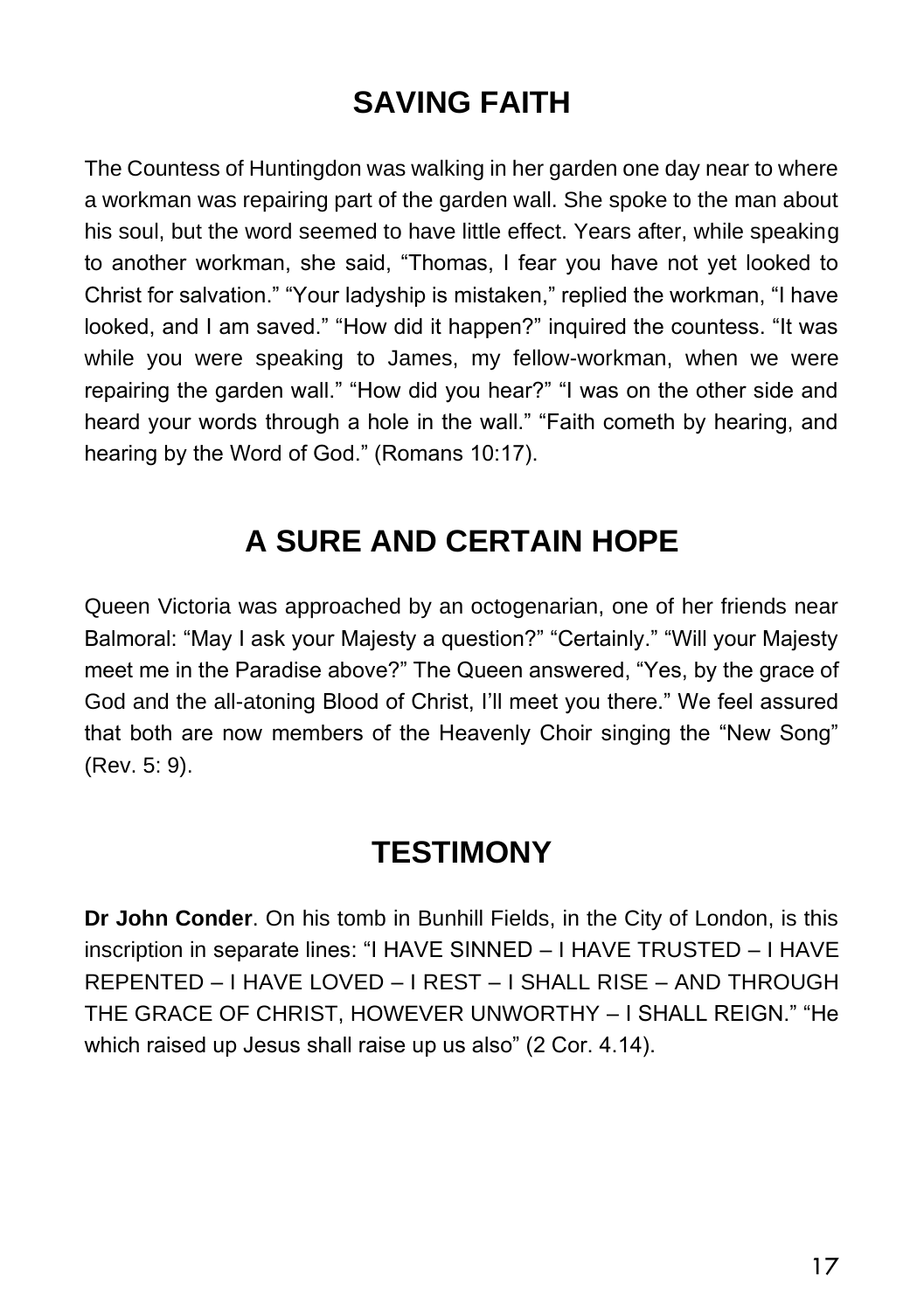# **SAVING FAITH**

The Countess of Huntingdon was walking in her garden one day near to where a workman was repairing part of the garden wall. She spoke to the man about his soul, but the word seemed to have little effect. Years after, while speaking to another workman, she said, "Thomas, I fear you have not yet looked to Christ for salvation." "Your ladyship is mistaken," replied the workman, "I have looked, and I am saved." "How did it happen?" inquired the countess. "It was while you were speaking to James, my fellow-workman, when we were repairing the garden wall." "How did you hear?" "I was on the other side and heard your words through a hole in the wall." "Faith cometh by hearing, and hearing by the Word of God." (Romans 10:17).

# **A SURE AND CERTAIN HOPE**

Queen Victoria was approached by an octogenarian, one of her friends near Balmoral: "May I ask your Majesty a question?" "Certainly." "Will your Majesty meet me in the Paradise above?" The Queen answered, "Yes, by the grace of God and the all-atoning Blood of Christ, I'll meet you there." We feel assured that both are now members of the Heavenly Choir singing the "New Song" (Rev. 5: 9).

## **TESTIMONY**

**Dr John Conder**. On his tomb in Bunhill Fields, in the City of London, is this inscription in separate lines: "I HAVE SINNED – I HAVE TRUSTED – I HAVE REPENTED – I HAVE LOVED – I REST – I SHALL RISE – AND THROUGH THE GRACE OF CHRIST, HOWEVER UNWORTHY – I SHALL REIGN." "He which raised up Jesus shall raise up us also" (2 Cor. 4.14).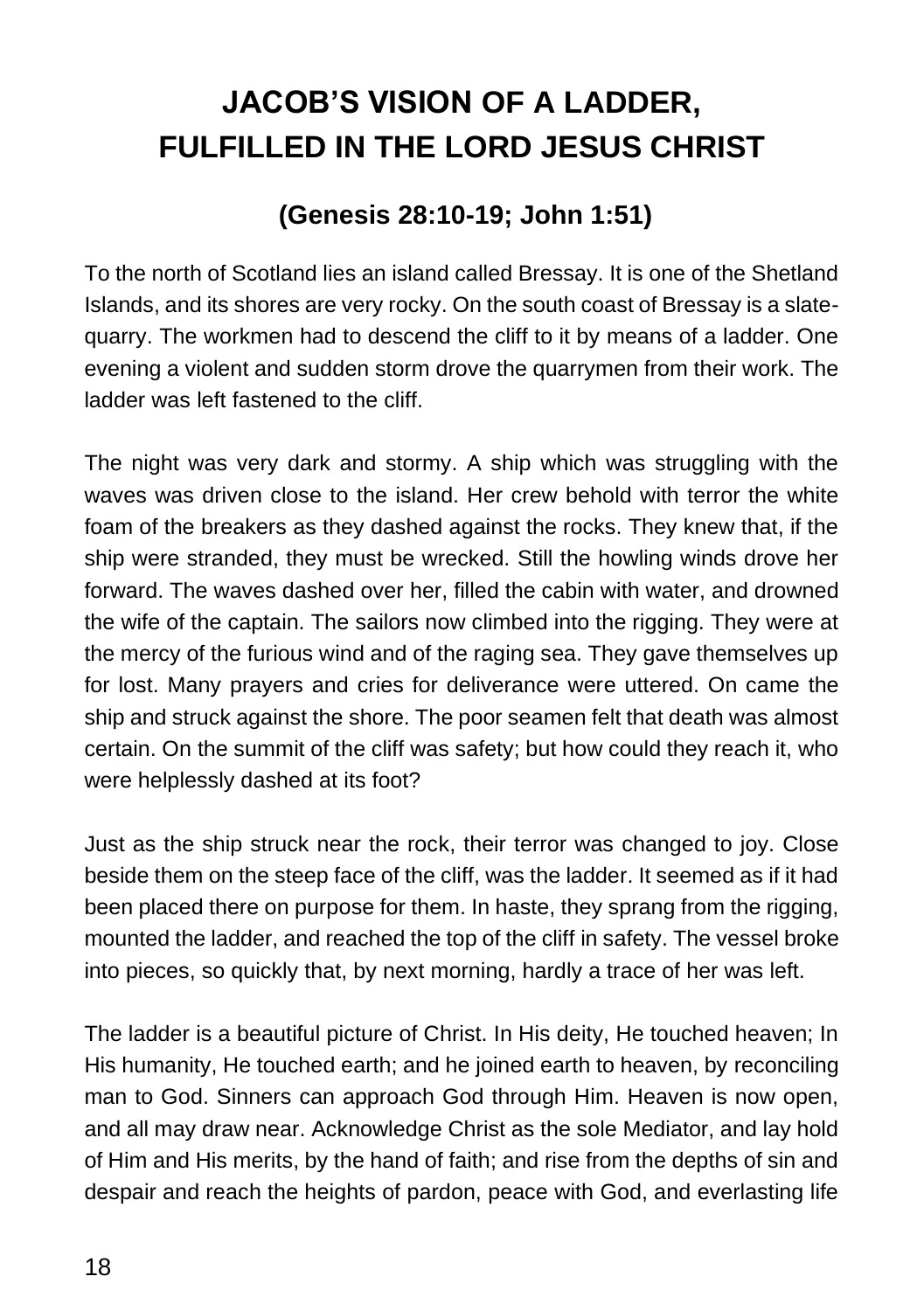# **JACOB'S VISION OF A LADDER, FULFILLED IN THE LORD JESUS CHRIST**

## **(Genesis 28:10-19; John 1:51)**

To the north of Scotland lies an island called Bressay. It is one of the Shetland Islands, and its shores are very rocky. On the south coast of Bressay is a slatequarry. The workmen had to descend the cliff to it by means of a ladder. One evening a violent and sudden storm drove the quarrymen from their work. The ladder was left fastened to the cliff.

The night was very dark and stormy. A ship which was struggling with the waves was driven close to the island. Her crew behold with terror the white foam of the breakers as they dashed against the rocks. They knew that, if the ship were stranded, they must be wrecked. Still the howling winds drove her forward. The waves dashed over her, filled the cabin with water, and drowned the wife of the captain. The sailors now climbed into the rigging. They were at the mercy of the furious wind and of the raging sea. They gave themselves up for lost. Many prayers and cries for deliverance were uttered. On came the ship and struck against the shore. The poor seamen felt that death was almost certain. On the summit of the cliff was safety; but how could they reach it, who were helplessly dashed at its foot?

Just as the ship struck near the rock, their terror was changed to joy. Close beside them on the steep face of the cliff, was the ladder. It seemed as if it had been placed there on purpose for them. In haste, they sprang from the rigging, mounted the ladder, and reached the top of the cliff in safety. The vessel broke into pieces, so quickly that, by next morning, hardly a trace of her was left.

The ladder is a beautiful picture of Christ. In His deity, He touched heaven; In His humanity, He touched earth; and he joined earth to heaven, by reconciling man to God. Sinners can approach God through Him. Heaven is now open, and all may draw near. Acknowledge Christ as the sole Mediator, and lay hold of Him and His merits, by the hand of faith; and rise from the depths of sin and despair and reach the heights of pardon, peace with God, and everlasting life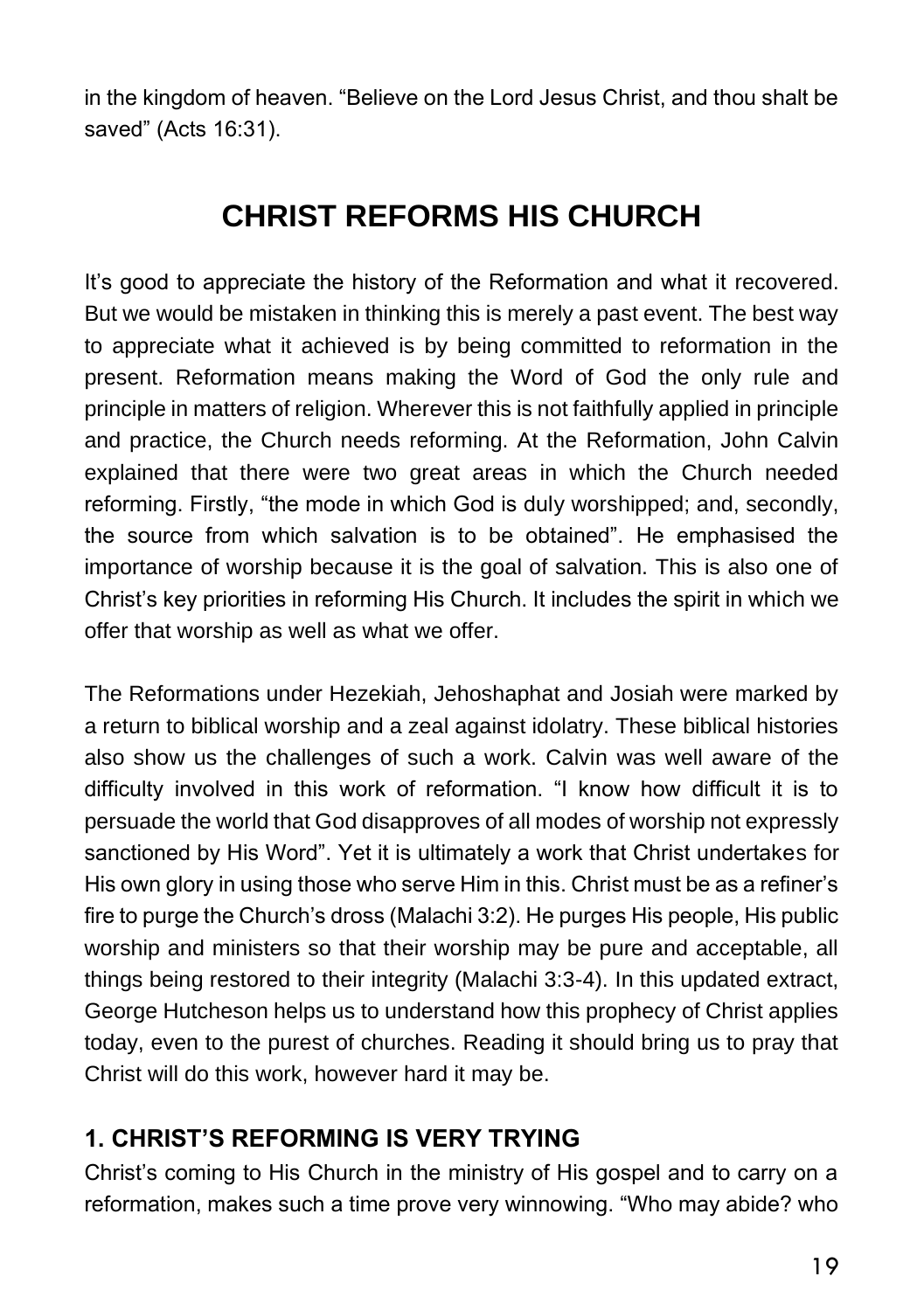in the kingdom of heaven. "Believe on the Lord Jesus Christ, and thou shalt be saved" (Acts 16:31).

# **CHRIST REFORMS HIS CHURCH**

It's good to appreciate the history of the Reformation and what it recovered. But we would be mistaken in thinking this is merely a past event. The best way to appreciate what it achieved is by being committed to reformation in the present. Reformation means making the Word of God the only rule and principle in matters of religion. Wherever this is not faithfully applied in principle and practice, the Church needs reforming. At the Reformation, John Calvin explained that there were two great areas in which the Church needed reforming. Firstly, "the mode in which God is duly worshipped; and, secondly, the source from which salvation is to be obtained". He emphasised the importance of worship because it is the goal of salvation. This is also one of Christ's key priorities in reforming His Church. It includes the spirit in which we offer that worship as well as what we offer.

The Reformations under Hezekiah, Jehoshaphat and Josiah were marked by a return to biblical worship and a zeal against idolatry. These biblical histories also show us the challenges of such a work. Calvin was well aware of the difficulty involved in this work of reformation. "I know how difficult it is to persuade the world that God disapproves of all modes of worship not expressly sanctioned by His Word". Yet it is ultimately a work that Christ undertakes for His own glory in using those who serve Him in this. Christ must be as a refiner's fire to purge the Church's dross (Malachi 3:2). He purges His people, His public worship and ministers so that their worship may be pure and acceptable, all things being restored to their integrity (Malachi 3:3-4). In this updated extract, George Hutcheson helps us to understand how this prophecy of Christ applies today, even to the purest of churches. Reading it should bring us to pray that Christ will do this work, however hard it may be.

## **1. CHRIST'S REFORMING IS VERY TRYING**

Christ's coming to His Church in the ministry of His gospel and to carry on a reformation, makes such a time prove very winnowing. "Who may abide? who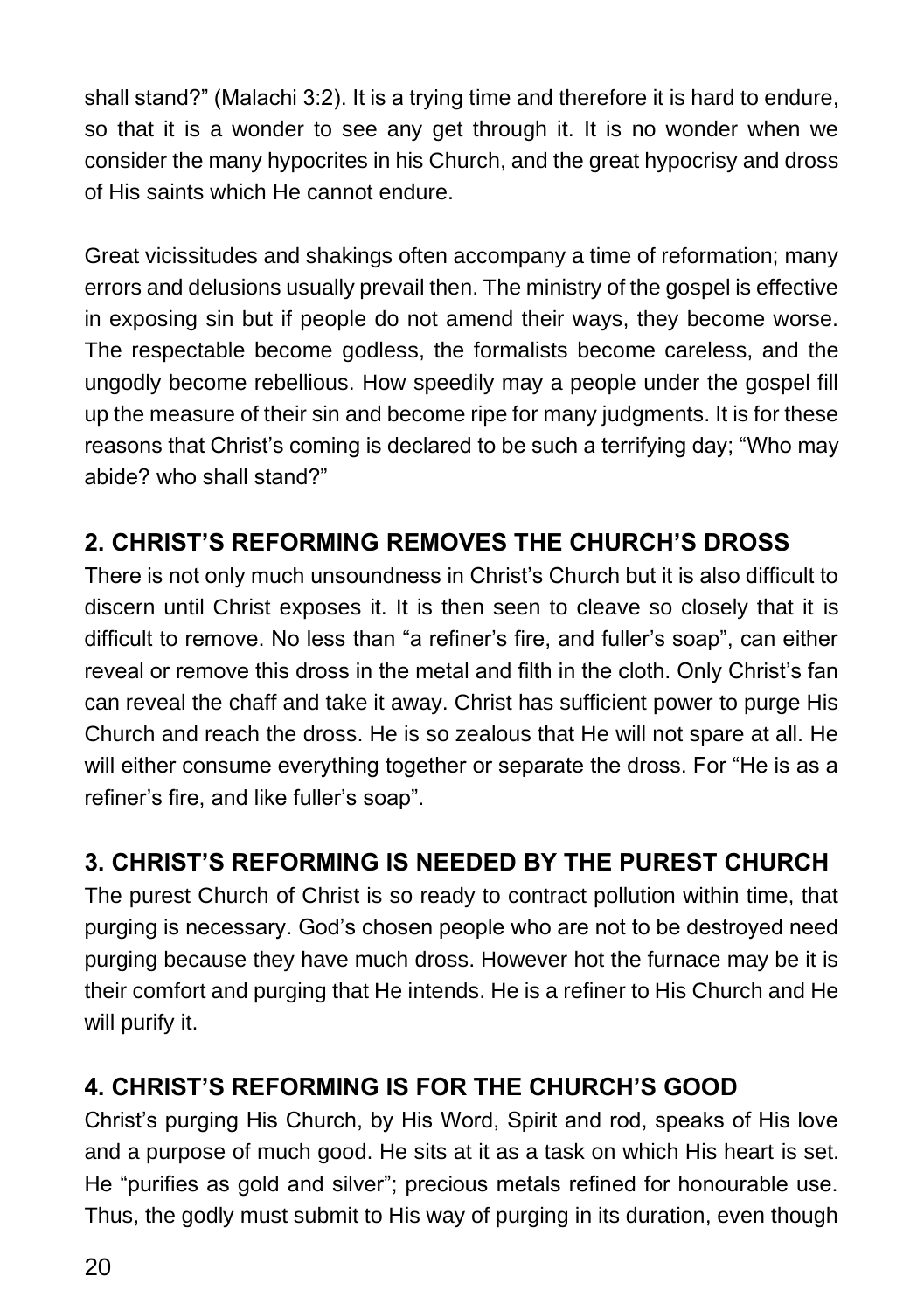shall stand?" (Malachi 3:2). It is a trying time and therefore it is hard to endure, so that it is a wonder to see any get through it. It is no wonder when we consider the many hypocrites in his Church, and the great hypocrisy and dross of His saints which He cannot endure.

Great vicissitudes and shakings often accompany a time of reformation; many errors and delusions usually prevail then. The ministry of the gospel is effective in exposing sin but if people do not amend their ways, they become worse. The respectable become godless, the formalists become careless, and the ungodly become rebellious. How speedily may a people under the gospel fill up the measure of their sin and become ripe for many judgments. It is for these reasons that Christ's coming is declared to be such a terrifying day; "Who may abide? who shall stand?"

## **2. CHRIST'S REFORMING REMOVES THE CHURCH'S DROSS**

There is not only much unsoundness in Christ's Church but it is also difficult to discern until Christ exposes it. It is then seen to cleave so closely that it is difficult to remove. No less than "a refiner's fire, and fuller's soap", can either reveal or remove this dross in the metal and filth in the cloth. Only Christ's fan can reveal the chaff and take it away. Christ has sufficient power to purge His Church and reach the dross. He is so zealous that He will not spare at all. He will either consume everything together or separate the dross. For "He is as a refiner's fire, and like fuller's soap".

## **3. CHRIST'S REFORMING IS NEEDED BY THE PUREST CHURCH**

The purest Church of Christ is so ready to contract pollution within time, that purging is necessary. God's chosen people who are not to be destroyed need purging because they have much dross. However hot the furnace may be it is their comfort and purging that He intends. He is a refiner to His Church and He will purify it.

## **4. CHRIST'S REFORMING IS FOR THE CHURCH'S GOOD**

Christ's purging His Church, by His Word, Spirit and rod, speaks of His love and a purpose of much good. He sits at it as a task on which His heart is set. He "purifies as gold and silver"; precious metals refined for honourable use. Thus, the godly must submit to His way of purging in its duration, even though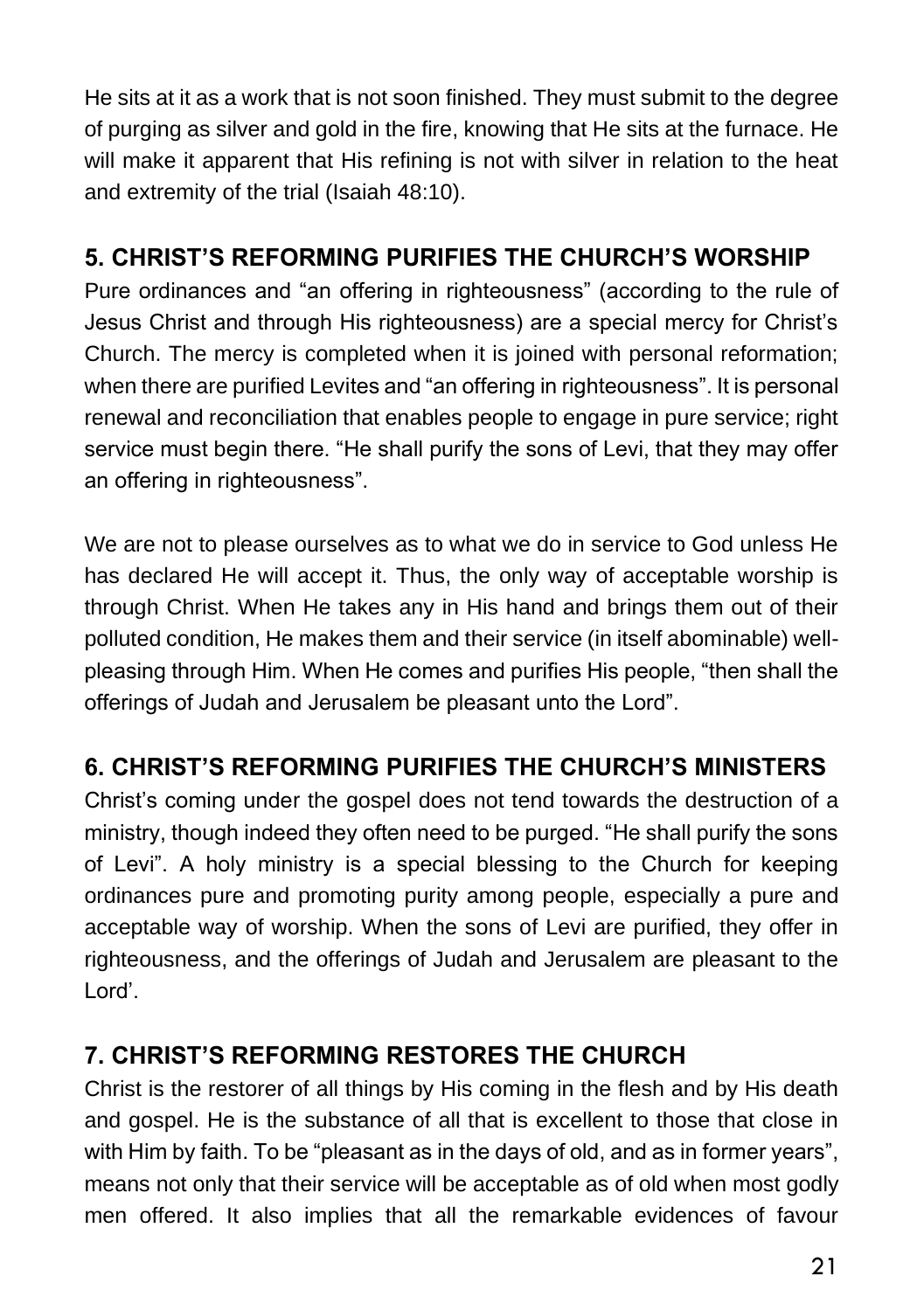He sits at it as a work that is not soon finished. They must submit to the degree of purging as silver and gold in the fire, knowing that He sits at the furnace. He will make it apparent that His refining is not with silver in relation to the heat and extremity of the trial (Isaiah 48:10).

## **5. CHRIST'S REFORMING PURIFIES THE CHURCH'S WORSHIP**

Pure ordinances and "an offering in righteousness" (according to the rule of Jesus Christ and through His righteousness) are a special mercy for Christ's Church. The mercy is completed when it is joined with personal reformation; when there are purified Levites and "an offering in righteousness". It is personal renewal and reconciliation that enables people to engage in pure service; right service must begin there. "He shall purify the sons of Levi, that they may offer an offering in righteousness".

We are not to please ourselves as to what we do in service to God unless He has declared He will accept it. Thus, the only way of acceptable worship is through Christ. When He takes any in His hand and brings them out of their polluted condition, He makes them and their service (in itself abominable) wellpleasing through Him. When He comes and purifies His people, "then shall the offerings of Judah and Jerusalem be pleasant unto the Lord".

### **6. CHRIST'S REFORMING PURIFIES THE CHURCH'S MINISTERS**

Christ's coming under the gospel does not tend towards the destruction of a ministry, though indeed they often need to be purged. "He shall purify the sons of Levi". A holy ministry is a special blessing to the Church for keeping ordinances pure and promoting purity among people, especially a pure and acceptable way of worship. When the sons of Levi are purified, they offer in righteousness, and the offerings of Judah and Jerusalem are pleasant to the Lord'.

## **7. CHRIST'S REFORMING RESTORES THE CHURCH**

Christ is the restorer of all things by His coming in the flesh and by His death and gospel. He is the substance of all that is excellent to those that close in with Him by faith. To be "pleasant as in the days of old, and as in former years", means not only that their service will be acceptable as of old when most godly men offered. It also implies that all the remarkable evidences of favour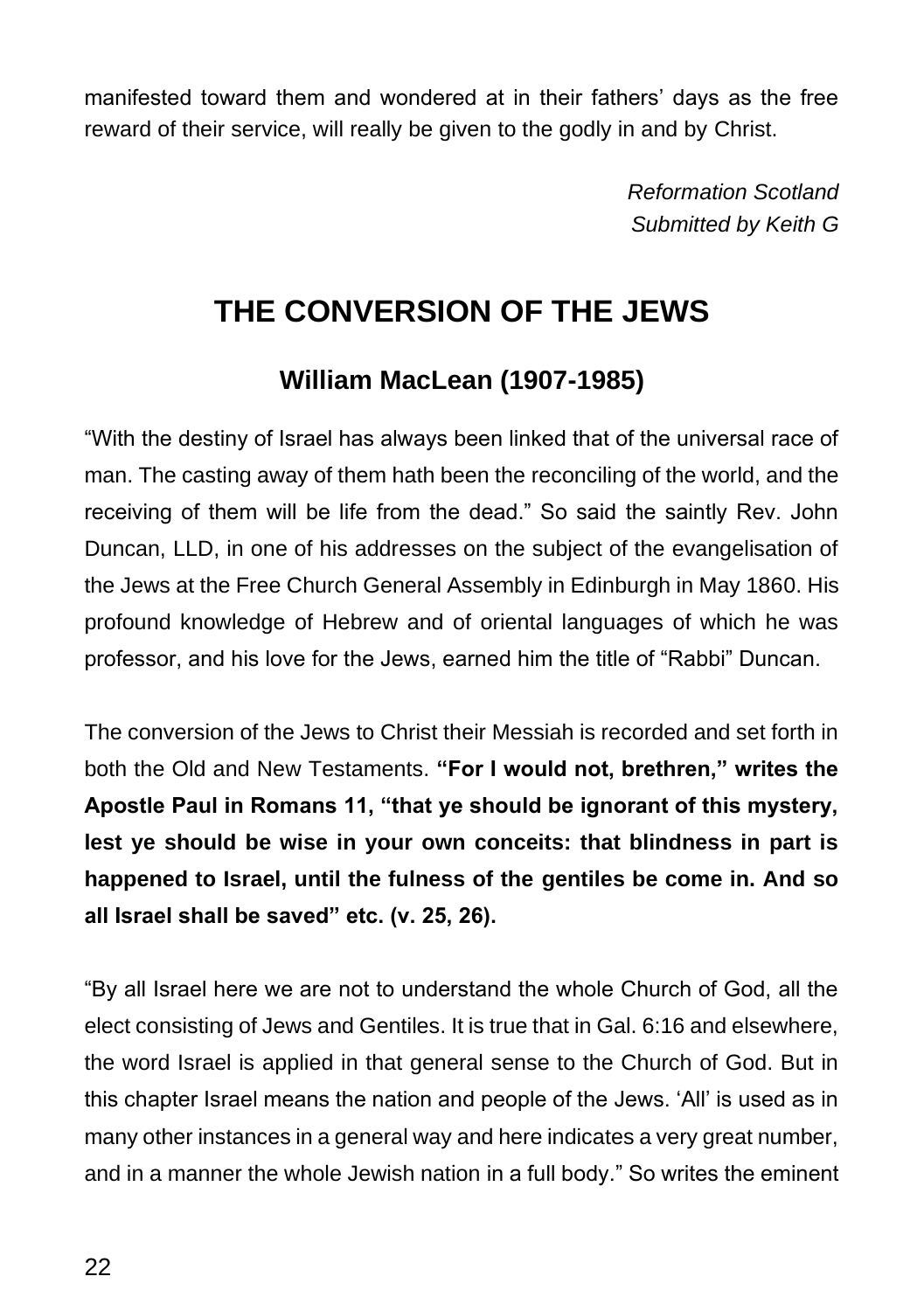manifested toward them and wondered at in their fathers' days as the free reward of their service, will really be given to the godly in and by Christ.

> *Reformation Scotland Submitted by Keith G*

# **THE CONVERSION OF THE JEWS**

## **William MacLean (1907-1985)**

"With the destiny of Israel has always been linked that of the universal race of man. The casting away of them hath been the reconciling of the world, and the receiving of them will be life from the dead." So said the saintly Rev. John Duncan, LLD, in one of his addresses on the subject of the evangelisation of the Jews at the Free Church General Assembly in Edinburgh in May 1860. His profound knowledge of Hebrew and of oriental languages of which he was professor, and his love for the Jews, earned him the title of "Rabbi" Duncan.

The conversion of the Jews to Christ their Messiah is recorded and set forth in both the Old and New Testaments. **"For I would not, brethren," writes the Apostle Paul in Romans 11, "that ye should be ignorant of this mystery, lest ye should be wise in your own conceits: that blindness in part is happened to Israel, until the fulness of the gentiles be come in. And so all Israel shall be saved" etc. (v. 25, 26).**

"By all Israel here we are not to understand the whole Church of God, all the elect consisting of Jews and Gentiles. It is true that in Gal. 6:16 and elsewhere, the word Israel is applied in that general sense to the Church of God. But in this chapter Israel means the nation and people of the Jews. 'All' is used as in many other instances in a general way and here indicates a very great number, and in a manner the whole Jewish nation in a full body." So writes the eminent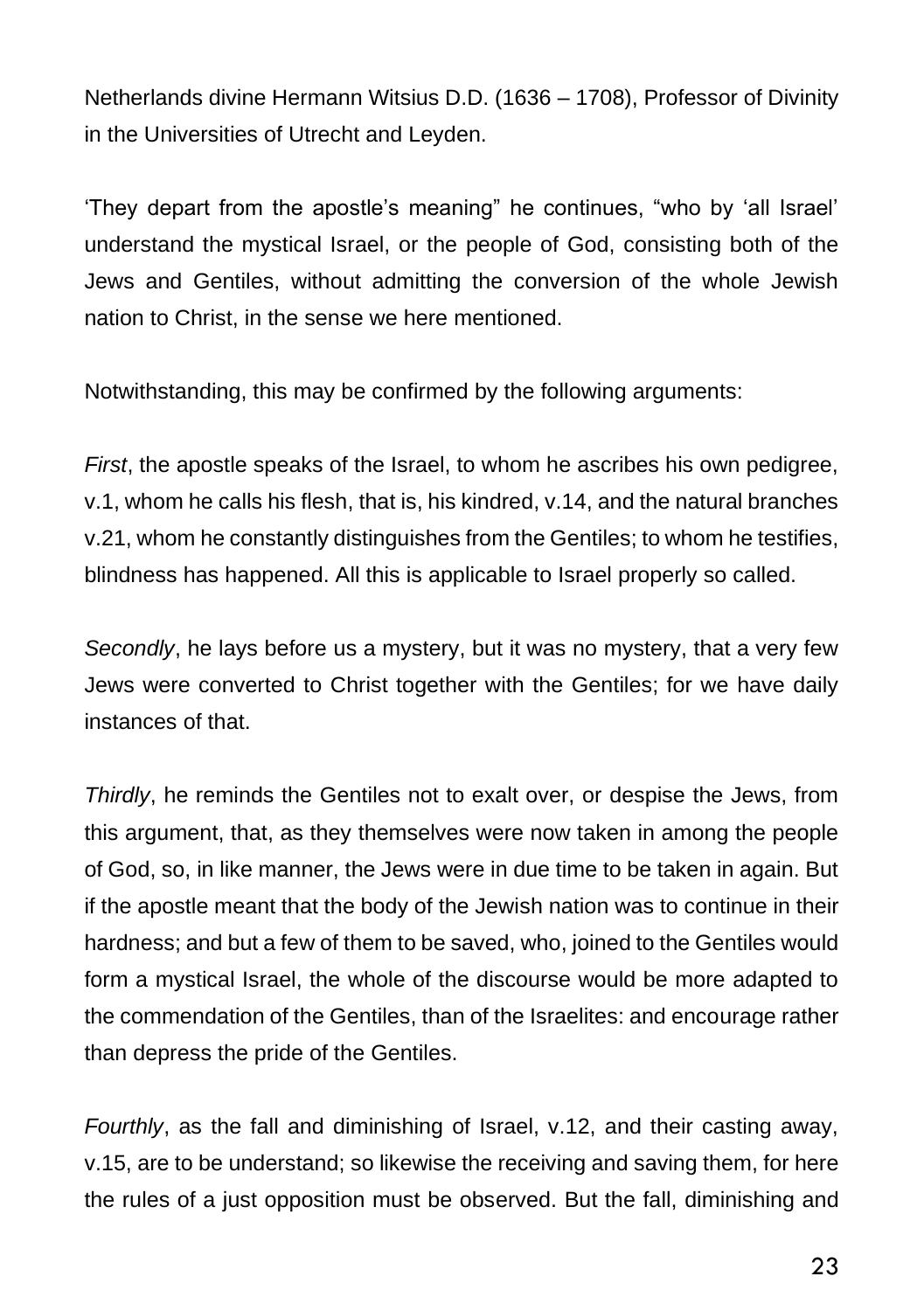Netherlands divine Hermann Witsius D.D. (1636 – 1708), Professor of Divinity in the Universities of Utrecht and Leyden.

'They depart from the apostle's meaning" he continues, "who by 'all Israel' understand the mystical Israel, or the people of God, consisting both of the Jews and Gentiles, without admitting the conversion of the whole Jewish nation to Christ, in the sense we here mentioned.

Notwithstanding, this may be confirmed by the following arguments:

*First*, the apostle speaks of the Israel, to whom he ascribes his own pedigree, v.1, whom he calls his flesh, that is, his kindred, v.14, and the natural branches v.21, whom he constantly distinguishes from the Gentiles; to whom he testifies, blindness has happened. All this is applicable to Israel properly so called.

*Secondly*, he lays before us a mystery, but it was no mystery, that a very few Jews were converted to Christ together with the Gentiles; for we have daily instances of that.

*Thirdly*, he reminds the Gentiles not to exalt over, or despise the Jews, from this argument, that, as they themselves were now taken in among the people of God, so, in like manner, the Jews were in due time to be taken in again. But if the apostle meant that the body of the Jewish nation was to continue in their hardness; and but a few of them to be saved, who, joined to the Gentiles would form a mystical Israel, the whole of the discourse would be more adapted to the commendation of the Gentiles, than of the Israelites: and encourage rather than depress the pride of the Gentiles.

*Fourthly*, as the fall and diminishing of Israel, v.12, and their casting away, v.15, are to be understand; so likewise the receiving and saving them, for here the rules of a just opposition must be observed. But the fall, diminishing and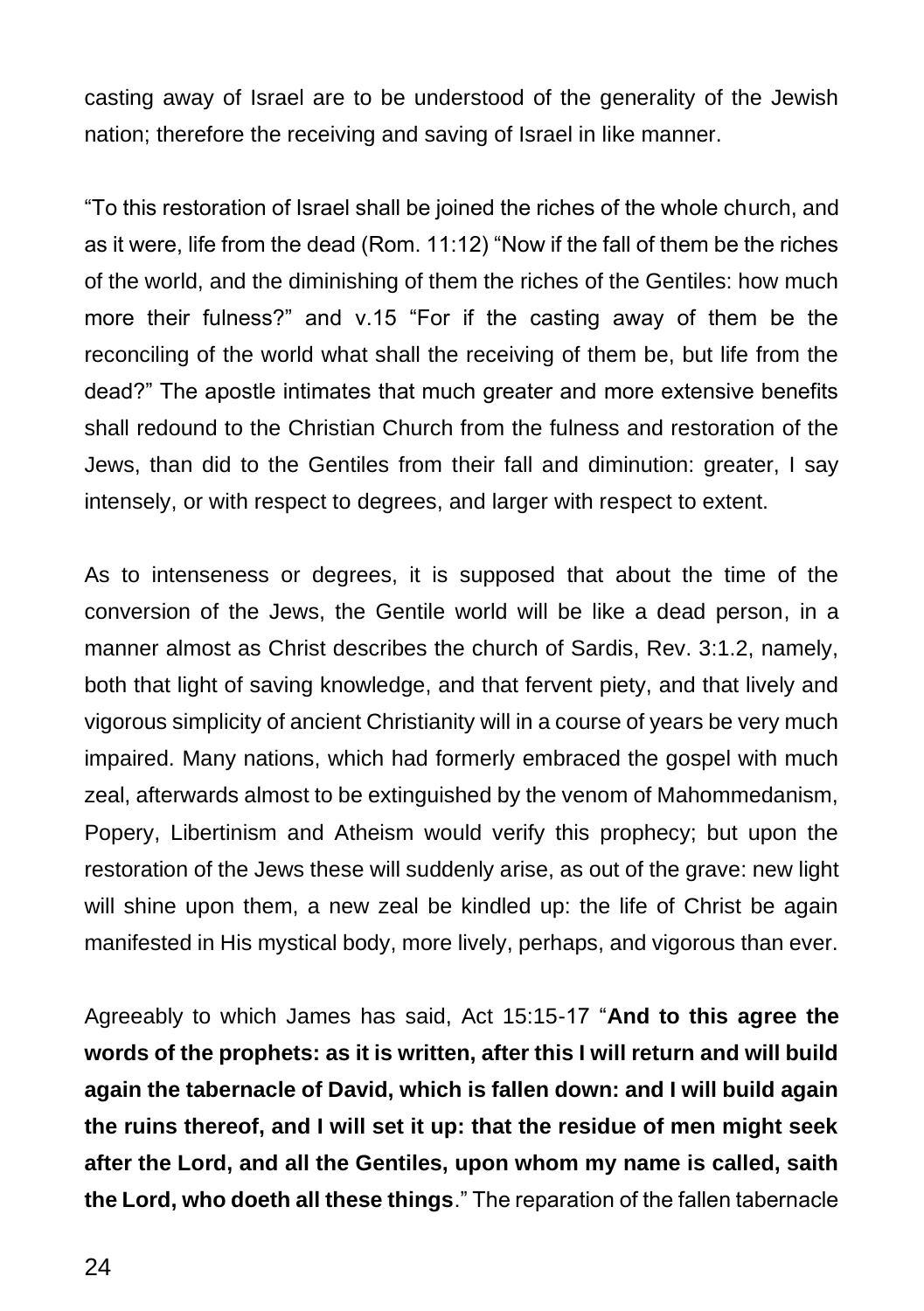casting away of Israel are to be understood of the generality of the Jewish nation; therefore the receiving and saving of Israel in like manner.

"To this restoration of Israel shall be joined the riches of the whole church, and as it were, life from the dead (Rom. 11:12) "Now if the fall of them be the riches of the world, and the diminishing of them the riches of the Gentiles: how much more their fulness?" and v.15 "For if the casting away of them be the reconciling of the world what shall the receiving of them be, but life from the dead?" The apostle intimates that much greater and more extensive benefits shall redound to the Christian Church from the fulness and restoration of the Jews, than did to the Gentiles from their fall and diminution: greater, I say intensely, or with respect to degrees, and larger with respect to extent.

As to intenseness or degrees, it is supposed that about the time of the conversion of the Jews, the Gentile world will be like a dead person, in a manner almost as Christ describes the church of Sardis, Rev. 3:1.2, namely, both that light of saving knowledge, and that fervent piety, and that lively and vigorous simplicity of ancient Christianity will in a course of years be very much impaired. Many nations, which had formerly embraced the gospel with much zeal, afterwards almost to be extinguished by the venom of Mahommedanism, Popery, Libertinism and Atheism would verify this prophecy; but upon the restoration of the Jews these will suddenly arise, as out of the grave: new light will shine upon them, a new zeal be kindled up: the life of Christ be again manifested in His mystical body, more lively, perhaps, and vigorous than ever.

Agreeably to which James has said, Act 15:15-17 "**And to this agree the words of the prophets: as it is written, after this I will return and will build again the tabernacle of David, which is fallen down: and I will build again the ruins thereof, and I will set it up: that the residue of men might seek after the Lord, and all the Gentiles, upon whom my name is called, saith the Lord, who doeth all these things**." The reparation of the fallen tabernacle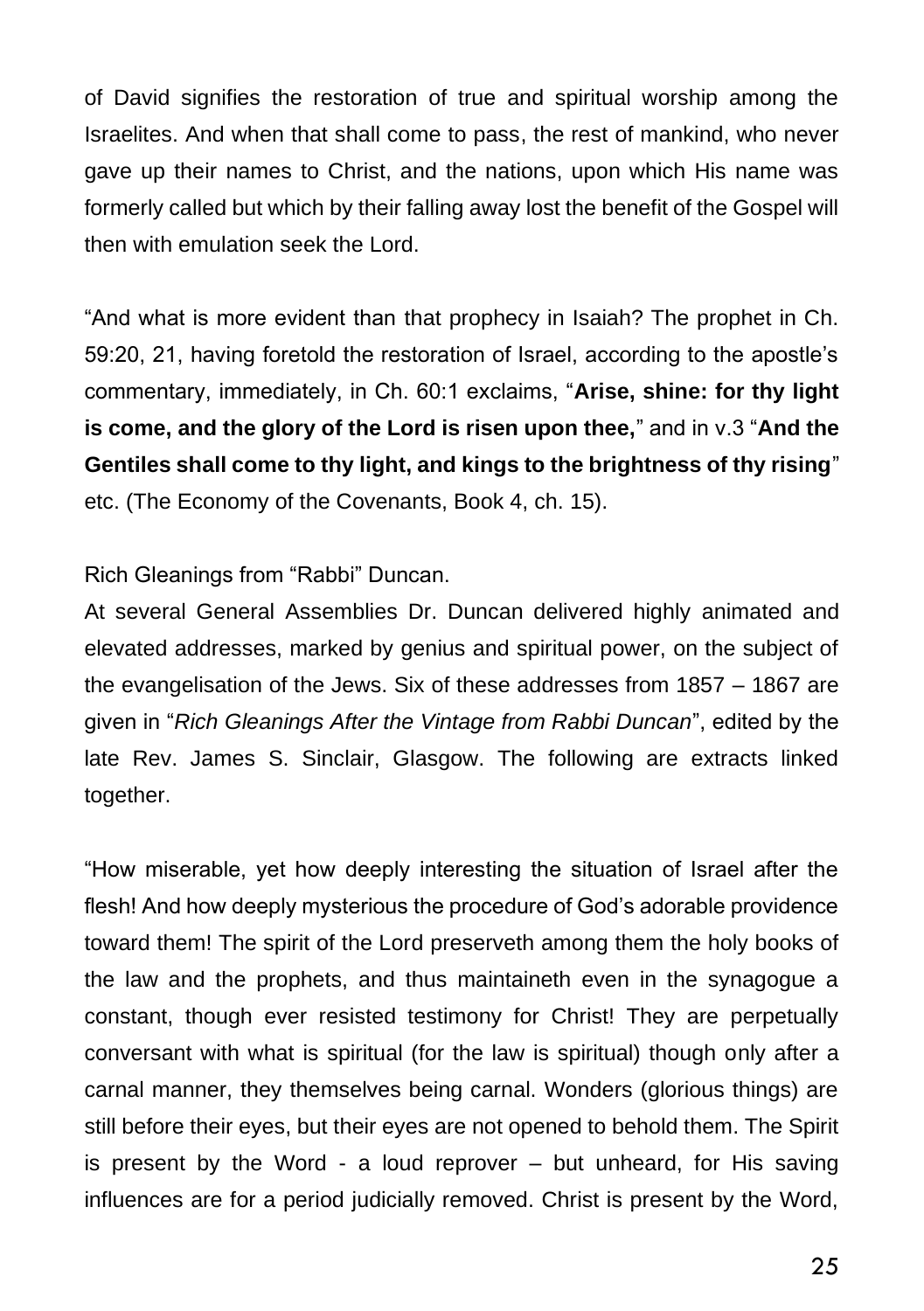of David signifies the restoration of true and spiritual worship among the Israelites. And when that shall come to pass, the rest of mankind, who never gave up their names to Christ, and the nations, upon which His name was formerly called but which by their falling away lost the benefit of the Gospel will then with emulation seek the Lord.

"And what is more evident than that prophecy in Isaiah? The prophet in Ch. 59:20, 21, having foretold the restoration of Israel, according to the apostle's commentary, immediately, in Ch. 60:1 exclaims, "**Arise, shine: for thy light is come, and the glory of the Lord is risen upon thee,**" and in v.3 "**And the Gentiles shall come to thy light, and kings to the brightness of thy rising**" etc. (The Economy of the Covenants, Book 4, ch. 15).

Rich Gleanings from "Rabbi" Duncan.

At several General Assemblies Dr. Duncan delivered highly animated and elevated addresses, marked by genius and spiritual power, on the subject of the evangelisation of the Jews. Six of these addresses from 1857 – 1867 are given in "*Rich Gleanings After the Vintage from Rabbi Duncan*", edited by the late Rev. James S. Sinclair, Glasgow. The following are extracts linked together.

"How miserable, yet how deeply interesting the situation of Israel after the flesh! And how deeply mysterious the procedure of God's adorable providence toward them! The spirit of the Lord preserveth among them the holy books of the law and the prophets, and thus maintaineth even in the synagogue a constant, though ever resisted testimony for Christ! They are perpetually conversant with what is spiritual (for the law is spiritual) though only after a carnal manner, they themselves being carnal. Wonders (glorious things) are still before their eyes, but their eyes are not opened to behold them. The Spirit is present by the Word - a loud reprover – but unheard, for His saving influences are for a period judicially removed. Christ is present by the Word,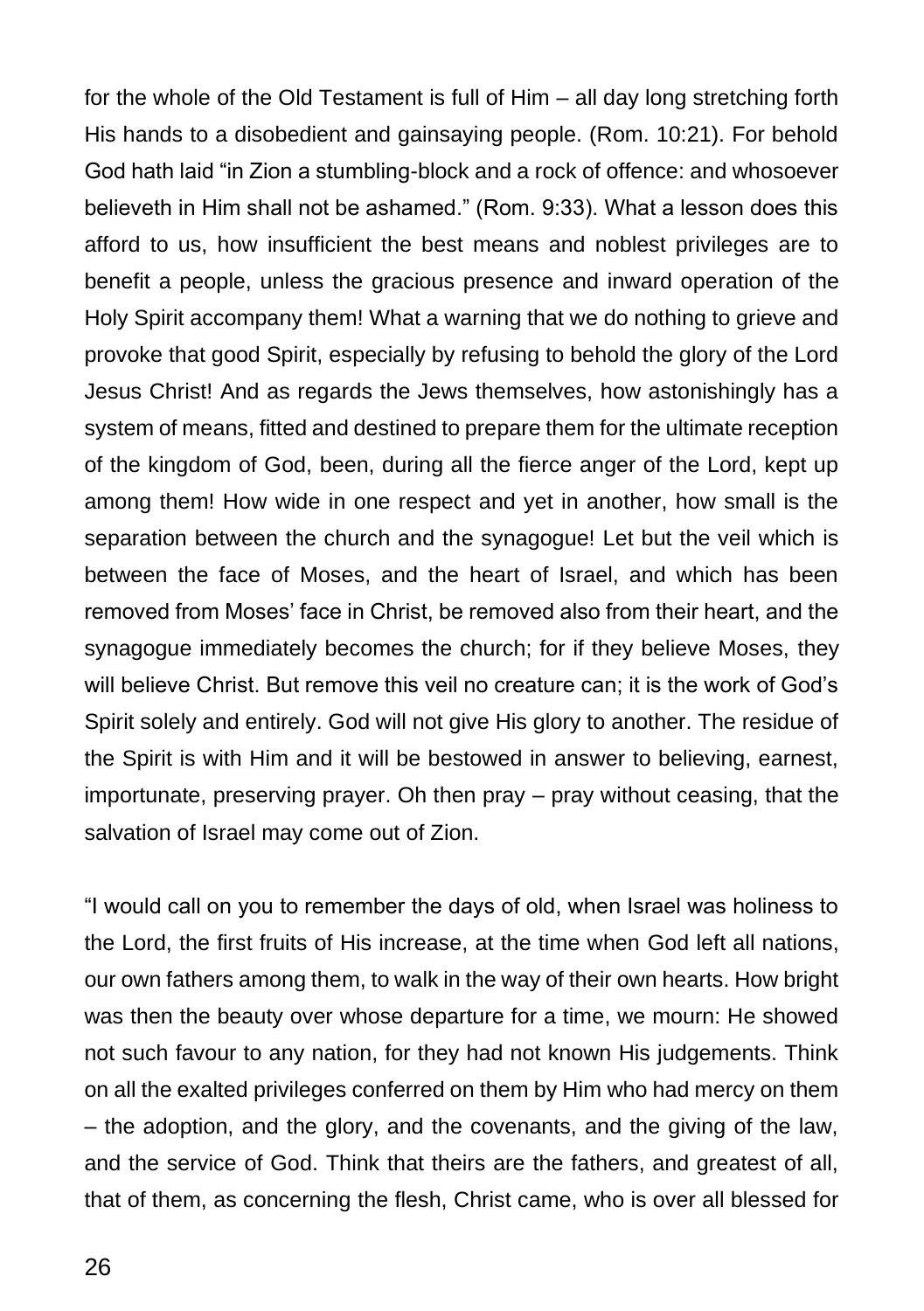for the whole of the Old Testament is full of Him – all day long stretching forth His hands to a disobedient and gainsaying people. (Rom. 10:21). For behold God hath laid "in Zion a stumbling-block and a rock of offence: and whosoever believeth in Him shall not be ashamed." (Rom. 9:33). What a lesson does this afford to us, how insufficient the best means and noblest privileges are to benefit a people, unless the gracious presence and inward operation of the Holy Spirit accompany them! What a warning that we do nothing to grieve and provoke that good Spirit, especially by refusing to behold the glory of the Lord Jesus Christ! And as regards the Jews themselves, how astonishingly has a system of means, fitted and destined to prepare them for the ultimate reception of the kingdom of God, been, during all the fierce anger of the Lord, kept up among them! How wide in one respect and yet in another, how small is the separation between the church and the synagogue! Let but the veil which is between the face of Moses, and the heart of Israel, and which has been removed from Moses' face in Christ, be removed also from their heart, and the synagogue immediately becomes the church; for if they believe Moses, they will believe Christ. But remove this veil no creature can; it is the work of God's Spirit solely and entirely. God will not give His glory to another. The residue of the Spirit is with Him and it will be bestowed in answer to believing, earnest, importunate, preserving prayer. Oh then pray – pray without ceasing, that the salvation of Israel may come out of Zion.

"I would call on you to remember the days of old, when Israel was holiness to the Lord, the first fruits of His increase, at the time when God left all nations, our own fathers among them, to walk in the way of their own hearts. How bright was then the beauty over whose departure for a time, we mourn: He showed not such favour to any nation, for they had not known His judgements. Think on all the exalted privileges conferred on them by Him who had mercy on them – the adoption, and the glory, and the covenants, and the giving of the law, and the service of God. Think that theirs are the fathers, and greatest of all, that of them, as concerning the flesh, Christ came, who is over all blessed for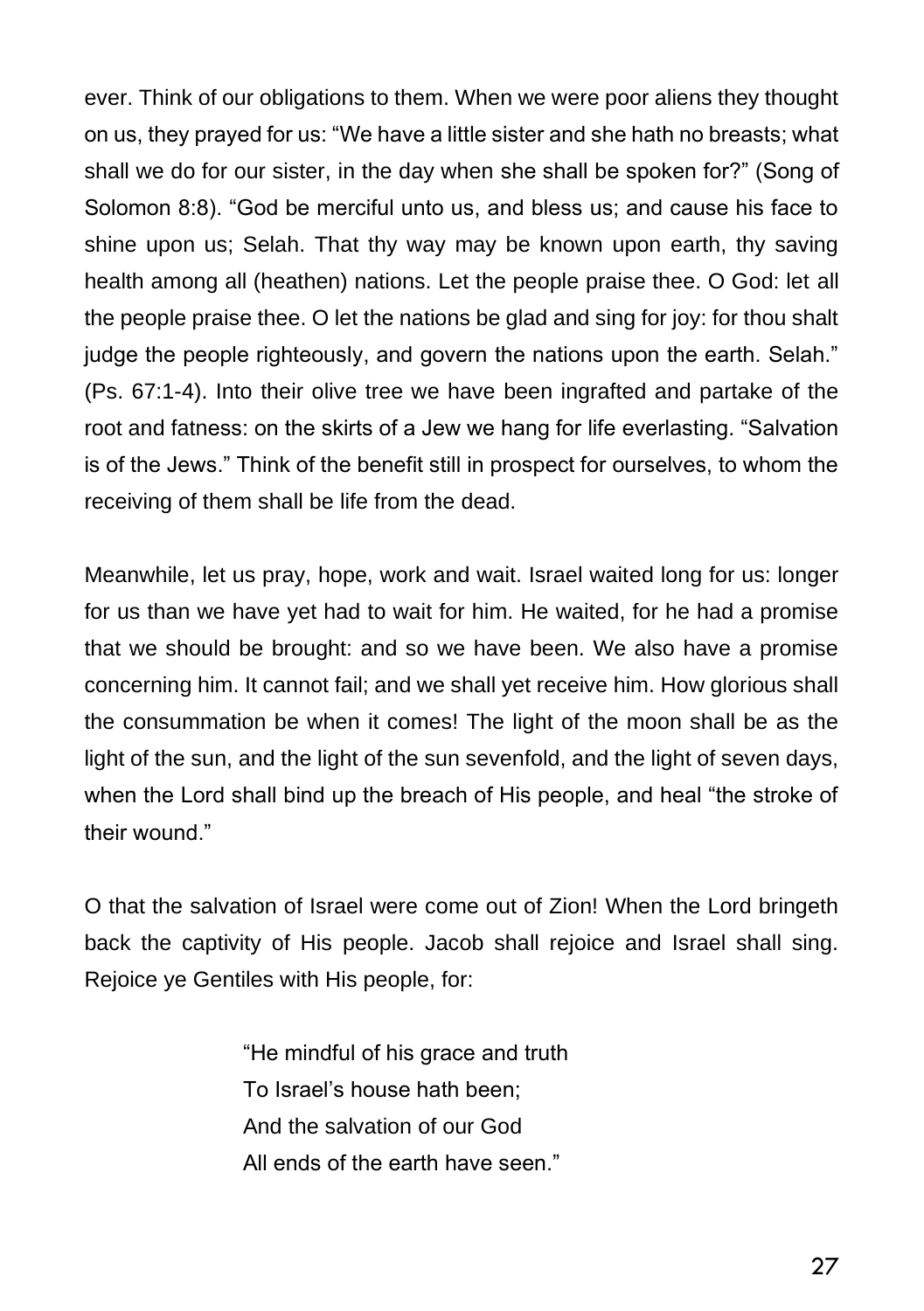ever. Think of our obligations to them. When we were poor aliens they thought on us, they prayed for us: "We have a little sister and she hath no breasts; what shall we do for our sister, in the day when she shall be spoken for?" (Song of Solomon 8:8). "God be merciful unto us, and bless us; and cause his face to shine upon us; Selah. That thy way may be known upon earth, thy saving health among all (heathen) nations. Let the people praise thee. O God: let all the people praise thee. O let the nations be glad and sing for joy: for thou shalt judge the people righteously, and govern the nations upon the earth. Selah." (Ps. 67:1-4). Into their olive tree we have been ingrafted and partake of the root and fatness: on the skirts of a Jew we hang for life everlasting. "Salvation is of the Jews." Think of the benefit still in prospect for ourselves, to whom the receiving of them shall be life from the dead.

Meanwhile, let us pray, hope, work and wait. Israel waited long for us: longer for us than we have yet had to wait for him. He waited, for he had a promise that we should be brought: and so we have been. We also have a promise concerning him. It cannot fail; and we shall yet receive him. How glorious shall the consummation be when it comes! The light of the moon shall be as the light of the sun, and the light of the sun sevenfold, and the light of seven days, when the Lord shall bind up the breach of His people, and heal "the stroke of their wound."

O that the salvation of Israel were come out of Zion! When the Lord bringeth back the captivity of His people. Jacob shall rejoice and Israel shall sing. Rejoice ye Gentiles with His people, for:

> "He mindful of his grace and truth To Israel's house hath been; And the salvation of our God All ends of the earth have seen."